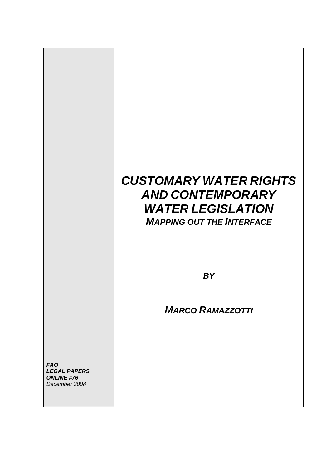# *CUSTOMARY WATER RIGHTS AND CONTEMPORARY WATER LEGISLATION MAPPING OUT THE INTERFACE*

*BY*

*MARCO RAMAZZOTTI*

*FAO LEGAL PAPERS ONLINE #76 December 2008*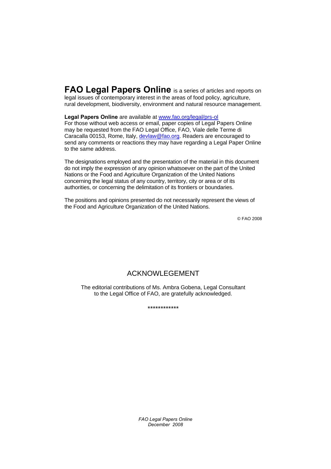**FAO Legal Papers Online** is a series of articles and reports on legal issues of contemporary interest in the areas of food policy, agriculture, rural development, biodiversity, environment and natural resource management.

**Legal Papers Online** are available at www.fao.org/legal/prs-ol

For those without web access or email, paper copies of Legal Papers Online may be requested from the FAO Legal Office, FAO, Viale delle Terme di Caracalla 00153, Rome, Italy, devlaw@fao.org. Readers are encouraged to send any comments or reactions they may have regarding a Legal Paper Online to the same address.

The designations employed and the presentation of the material in this document do not imply the expression of any opinion whatsoever on the part of the United Nations or the Food and Agriculture Organization of the United Nations concerning the legal status of any country, territory, city or area or of its authorities, or concerning the delimitation of its frontiers or boundaries.

The positions and opinions presented do not necessarily represent the views of the Food and Agriculture Organization of the United Nations.

© FAO 2008

## ACKNOWLEGEMENT

The editorial contributions of Ms. Ambra Gobena, Legal Consultant to the Legal Office of FAO, are gratefully acknowledged.

\*\*\*\*\*\*\*\*\*\*\*\*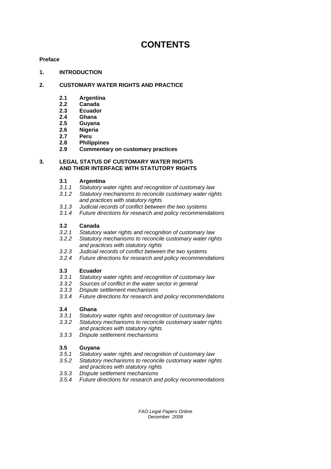## **CONTENTS**

## **[Preface](#page-4-0)**

## **[1. INTRODUCTION](#page-5-0)**

## **[2. CUSTOMARY WATER RIGHTS AND PRACTICE](#page-6-0)**

- **2.1 Argentina**
- **2.2 Canada**
- **2.3 Ecuador**
- **[2.4 Ghana](#page-7-0)**
- **[2.5 Guyana](#page-8-0)**
- **2.6 Nigeria**
- **[2.7 Peru](#page-9-0)**
- **[2.8 Philippines](#page-10-0)**
- **[2.9 Commentary on customary practices](#page-12-0)**

## **3. LEGAL STATUS OF CUSTOMARY WATER RIGHTS AND THEIR INTERFACE WITH STATUTORY RIGHTS**

- **3.1 Argentina**
- *[3.1.1 Statutory water rights and recognition of customary law](#page-14-0)*
- *3.1.2 Statutory mechanisms to reconcile customary water rights and practices with statutory rights*
- *3.1.3 Judicial records of conflict between the two systems*
- *3.1.4 Future directions for research and policy recommendations*

## **3.2 Canada**

- *[3.2.1 Statutory water rights and recognition of customary law](#page-16-0)*
- *3.2.2 Statutory mechanisms to reconcile customary water rights and practices with statutory rights*
- *3.2.3 Judicial records of conflict between the two systems*
- *3.2.4 Future directions for research and policy recommendations*

## **3.3 Ecuador**

- *[3.3.1 Statutory water rights and recognition of customary law](#page-19-0)*
- *3.3.2 Sources of conflict in the water sector in general*
- *3.3.3 Dispute settlement mechanisms*
- *3.3.4 Future directions for research and policy recommendations*

## **3.4 Ghana**

- *[3.3.1 Statutory water rights and recognition of customary law](#page-21-0)*
- *3.3.2 Statutory mechanisms to reconcile customary water rights and practices with statutory rights*
- *3.3.3 Dispute settlement mechanisms*

## **3.5 Guyana**

- *[3.5.1 Statutory water rights and recognition of customary law](#page-22-0)*
- *3.5.2 Statutory mechanisms to reconcile customary water rights and practices with statutory rights*
- *3.5.3 Dispute settlement mechanisms*
- *3.5.4 Future directions for research and policy recommendations*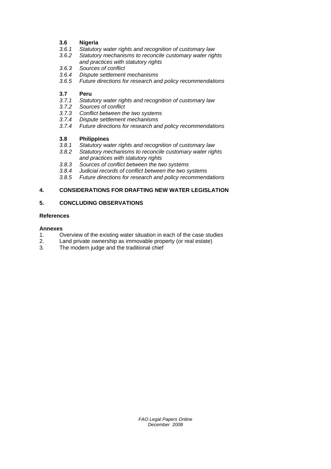## **3.6 Nigeria**

- *[3.6.1 Statutory water rights and recognition of customary law](#page-25-0)*
- *3.6.2 Statutory mechanisms to reconcile customary water rights and practices with statutory rights*
- *3.6.3 Sources of conflict*
- *3.6.4 Dispute settlement mechanisms*
- *3.6.5 Future directions for research and policy recommendations*

## **3.7 Peru**

- *[3.7.1 Statutory water rights and recognition of customary law](#page-26-0)*
- *3.7.2 Sources of conflict*
- *3.7.3 Conflict between the two systems*
- *3.7.4 Dispute settlement mechanisms*
- *3.7.4 Future directions for research and policy recommendations*

## **3.8 Philippines**

- *[3.8.1 Statutory water rights and recognition of customary law](#page-29-0)*
- *3.8.2 Statutory mechanisms to reconcile customary water rights and practices with statutory rights*
- *3.8.3 Sources of conflict between the two systems*
- *3.8.4 Judicial records of conflict between the two systems*
- *3.8.5 Future directions for research and policy recommendations*

## **[4. CONSIDERATIONS FOR DRAFTING NEW WATER LEGISLATION](#page-31-0)**

## **[5. CONCLUDING OBSERVATIONS](#page-34-0)**

#### **[References](#page-37-0)**

## **Annexes**

- [1. Overview of the existing water situation in each of the case studies](#page-38-0)
- [2. Land private ownership as immovable property \(or real estate\)](#page-40-0)
- 3. The modern judge and the traditional chief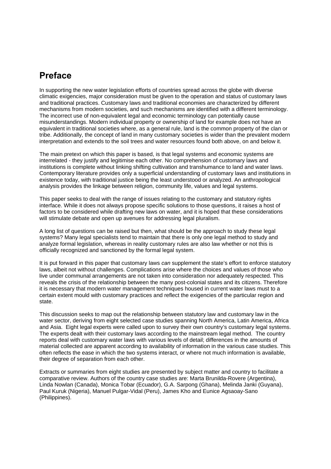## <span id="page-4-0"></span>**Preface**

In supporting the new water legislation efforts of countries spread across the globe with diverse climatic exigencies, major consideration must be given to the operation and status of customary laws and traditional practices. Customary laws and traditional economies are characterized by different mechanisms from modern societies, and such mechanisms are identified with a different terminology. The incorrect use of non-equivalent legal and economic terminology can potentially cause misunderstandings. Modern individual property or ownership of land for example does not have an equivalent in traditional societies where, as a general rule, land is the common property of the clan or tribe. Additionally, the concept of land in many customary societies is wider than the prevalent modern interpretation and extends to the soil trees and water resources found both above, on and below it.

The main pretext on which this paper is based, is that legal systems and economic systems are interrelated - they justify and legitimise each other. No comprehension of customary laws and institutions is complete without linking shifting cultivation and transhumance to land and water laws. Contemporary literature provides only a superficial understanding of customary laws and institutions in existence today, with traditional justice being the least understood or analyzed. An anthropological analysis provides the linkage between religion, community life, values and legal systems.

This paper seeks to deal with the range of issues relating to the customary and statutory rights interface. While it does not always propose specific solutions to those questions, it raises a host of factors to be considered while drafting new laws on water, and it is hoped that these considerations will stimulate debate and open up avenues for addressing legal pluralism.

A long list of questions can be raised but then, what should be the approach to study these legal systems? Many legal specialists tend to maintain that there is only one legal method to study and analyze formal legislation, whereas in reality customary rules are also law whether or not this is officially recognized and sanctioned by the formal legal system.

It is put forward in this paper that customary laws *can* supplement the state's effort to enforce statutory laws, albeit not without challenges. Complications arise where the choices and values of those who live under communal arrangements are not taken into consideration nor adequately respected. This reveals the crisis of the relationship between the many post-colonial states and its citizens. Therefore it is necessary that modern water management techniques housed in current water laws must to a certain extent mould with customary practices and reflect the exigencies of the particular region and state.

This discussion seeks to map out the relationship between statutory law and customary law in the water sector, deriving from eight selected case studies spanning North America, Latin America, Africa and Asia. Eight legal experts were called upon to survey their own country's customary legal systems. The experts dealt with their customary laws according to the mainstream legal method. The country reports deal with customary water laws with various levels of detail; differences in the amounts of material collected are apparent according to availability of information in the various case studies. This often reflects the ease in which the two systems interact, or where not much information is available, their degree of separation from each other.

Extracts or summaries from eight studies are presented by subject matter and country to facilitate a comparative review. Authors of the country case studies are: Marta Brunilda-Rovere (Argentina), Linda Nowlan (Canada), Monica Tobar (Ecuador), G.A. Sarpong (Ghana), Melinda Janki (Guyana), Paul Kuruk (Nigeria), Manuel Pulgar-Vidal (Peru), James Kho and Eunice Agsaoay-Sano (Philippines).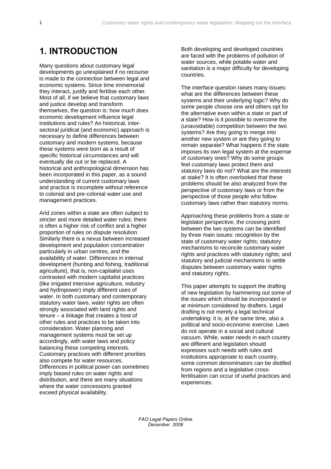## <span id="page-5-0"></span>**1. INTRODUCTION**

Many questions about customary legal developments go unexplained if no recourse is made to the connection between legal and economic systems. Since time immemorial they interact, justify and fertilise each other. Most of all, if we believe that customary laws and justice develop and transform themselves, the question is: how much does economic development influence legal institutions and rules? An historical, intersectoral juridical (and economic) approach is necessary to define differences between customary and modern systems, because these systems were born as a result of specific historical circumstances and will eventually die out or be replaced. A historical and anthropological dimension has been incorporated in this paper, as a sound understanding of current customary laws and practice is incomplete without reference to colonial and pre-colonial water use and management practices.

Arid zones within a state are often subject to stricter and more detailed water rules; there is often a higher risk of conflict and a higher proportion of rules on dispute resolution. Similarly there is a nexus between increased development and population concentration particularly in urban centres, and the availability of water. Differences in internal development (hunting and fishing, traditional agriculture), that is, non-capitalist uses contrasted with modern capitalist practices (like irrigated intensive agriculture, industry and hydropower) imply different uses of water. In both customary and contemporary statutory water laws, water rights are often strongly associated with land rights and tenure – a linkage that creates a host of other rules and practices to be taken into consideration. Water planning and management systems must be set up accordingly, with water laws and policy balancing these competing interests. Customary practices with different priorities also compete for water resources. Differences in political power can sometimes imply biased rules on water rights and distribution, and there are many situations where the water concessions granted exceed physical availability.

Both developing and developed countries are faced with the problems of pollution of water sources, while potable water and sanitation is a major difficulty for developing countries.

The interface question raises many issues: what are the differences between these systems and their underlying logic? Why do some people choose one and others opt for the alternative even within a state or part of a state? How is it possible to overcome the (unavoidable) competition between the two systems? Are they going to merge into another new system or are they going to remain separate? What happens if the state imposes its own legal system at the expense of customary ones? Why do some groups feel customary laws protect them and statutory laws do not? What are the interests at stake? It is often overlooked that these problems should be also analyzed from the perspective of customary laws or from the perspective of those people who follow customary laws rather than statutory norms.

Approaching these problems from a state or legislator perspective, the crossing point between the two systems can be identified by three main issues: recognition by the state of customary water rights; statutory mechanisms to reconcile customary water rights and practices with statutory rights; and statutory and judicial mechanisms to settle disputes between customary water rights and statutory rights.

This paper attempts to support the drafting of new legislation by hammering out some of the issues which should be incorporated or at minimum considered by drafters. Legal drafting is not merely a legal technical undertaking: it is, at the same time, also a political and socio-economic exercise. Laws do not operate in a social and cultural vacuum. While, water needs in each country are different and legislation should expresses such needs with rules and institutions appropriate to each country, some common denominators can be distilled from regions and a legislative crossfertilisation can occur of useful practices and experiences.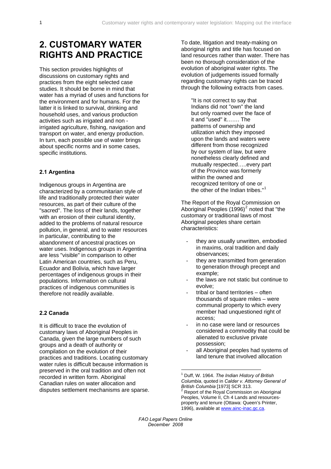## <span id="page-6-0"></span>**2. CUSTOMARY WATER RIGHTS AND PRACTICE**

This section provides highlights of discussions on customary rights and practices from the eight selected case studies. It should be borne in mind that water has a myriad of uses and functions for the environment and for humans. For the latter it is linked to survival, drinking and household uses, and various production activities such as irrigated and non irrigated agriculture, fishing, navigation and transport on water, and energy production. In turn, each possible use of water brings about specific norms and in some cases, specific institutions.

#### **2.1 Argentina**

Indigenous groups in Argentina are characterized by a communitarian style of life and traditionally protected their water resources, as part of their culture of the "sacred". The loss of their lands, together with an erosion of their cultural identity, added to the problems of natural resource pollution, in general, and to water resources in particular, contributing to the abandonment of ancestral practices on water uses. Indigenous groups in Argentina are less "visible" in comparison to other Latin American countries, such as Peru, Ecuador and Bolivia, which have larger percentages of indigenous groups in their populations. Information on cultural practices of indigenous communities is therefore not readily available.

## **2.2 Canada**

<span id="page-6-2"></span><span id="page-6-1"></span>It is difficult to trace the evolution of customary laws of Aboriginal Peoples in Canada, given the large numbers of such groups and a death of authority or compilation on the evolution of their practices and traditions. Locating customary water rules is difficult because information is preserved in the oral tradition and often not recorded in written form. Aboriginal Canadian rules on water allocation and disputes settlement mechanisms are sparse. To date, litigation and treaty-making on aboriginal rights and title has focused on land resources rather than water. There has been no thorough consideration of the evolution of aboriginal water rights. The evolution of judgements issued formally regarding customary rights can be traced through the following extracts from cases.

"It is not correct to say that Indians did not "own" the land but only roamed over the face of it and "used" it……. The patterns of ownership and utilization which they imposed upon the lands and waters were different from those recognized by our system of law, but were nonetheless clearly defined and mutually respected…..every part of the Province was formerly within the owned and recognized territory of one or the other of the Indian tribes."<sup>[1](#page-6-1)</sup>

The Report of the Royal Commission on Aboriginal Peoples  $(1996)^2$  $(1996)^2$  noted that "the customary or traditional laws of most Aboriginal peoples share certain characteristics:

- they are usually unwritten, embodied in maxims, oral tradition and daily observances;
- they are transmitted from generation to generation through precept and example;
- the laws are not static but continue to evolve;
- tribal or band territories often thousands of square miles – were communal property to which every member had unquestioned right of access;
- in no case were land or resources considered a commodity that could be alienated to exclusive private possession;
- all Aboriginal peoples had systems of land tenure that involved allocation

*FAO Legal Papers Online December 2008* 

<u>.</u>

<sup>1</sup> Duff, W. 1964. *The Indian History of British Columbia*, quoted in *Calder v. Attorney General of British Columbia* [1973] SCR 313. Report of the Royal Commission on Aboriginal Peoples, Volume II, Ch 4 Lands and resourcesproperty and tenure (Ottawa: Queen's Printer, 1996), available at [www.ainc-inac.gc.ca](http://www.ainc-inac.gc.ca/).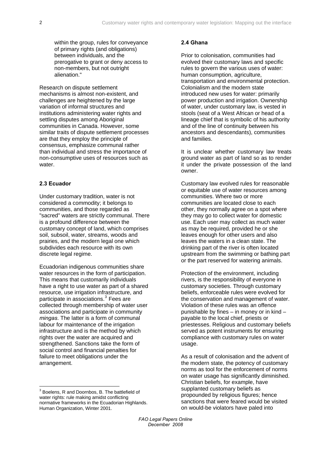<span id="page-7-0"></span>within the group, rules for conveyance of primary rights (and obligations) between individuals, and the prerogative to grant or deny access to non-members, but not outright alienation."

Research on dispute settlement mechanisms is almost non-existent, and challenges are heightened by the large variation of informal structures and institutions administering water rights and settling disputes among Aboriginal communities in Canada. However, some similar traits of dispute settlement processes are that they employ the principle of consensus, emphasize communal rather than individual and stress the importance of non-consumptive uses of resources such as water.

#### **2.3 Ecuador**

Under customary tradition, water is not considered a commodity; it belongs to communities, and those regarded as "sacred" waters are strictly communal. There is a profound difference between the customary concept of land, which comprises soil, subsoil, water, streams, woods and prairies, and the modern legal one which subdivides each resource with its own discrete legal regime.

Ecuadorian indigenous communities share water resources in the form of participation. This means that customarily individuals have a right to use water as part of a shared resource, use irrigation infrastructure, and participate in associations.<sup>[3](#page-7-1)</sup> Fees are collected through membership of water user associations and participate in community *mingas*. The latter is a form of communal labour for maintenance of the irrigation infrastructure and is the method by which rights over the water are acquired and strengthened. Sanctions take the form of social control and financial penalties for failure to meet obligations under the arrangement.

### **2.4 Ghana**

Prior to colonisation, communities had evolved their customary laws and specific rules to govern the various uses of water: human consumption, agriculture, transportation and environmental protection. Colonialism and the modern state introduced new uses for water: primarily power production and irrigation. Ownership of water, under customary law, is vested in stools (seat of a West African or head of a lineage chief that is symbolic of his authority and of the line of continuity between his ancestors and descendants), communities and families.

It is unclear whether customary law treats ground water as part of land so as to render it under the private possession of the land owner.

Customary law evolved rules for reasonable or equitable use of water resources among communities. Where two or more communities are located close to each other, they normally agree on a spot where they may go to collect water for domestic use. Each user may collect as much water as may be required, provided he or she leaves enough for other users and also leaves the waters in a clean state. The drinking part of the river is often located upstream from the swimming or bathing part or the part reserved for watering animals.

Protection of the environment, including rivers, is the responsibility of everyone in customary societies. Through customary beliefs, enforceable rules were evolved for the conservation and management of water. Violation of these rules was an offence punishable by fines – in money or in kind – payable to the local chief, priests or priestesses. Religious and customary beliefs served as potent instruments for ensuring compliance with customary rules on water usage.

As a result of colonisation and the advent of the modern state, the potency of customary norms as tool for the enforcement of norms on water usage has significantly diminished. Christian beliefs, for example, have supplanted customary beliefs as propounded by religious figures; hence sanctions that were feared would be visited on would-be violators have paled into

<span id="page-7-1"></span> 3 Boelens, R and Doornbos, B. The battlefield of water rights: rule making amidst conflicting normative frameworks in the Ecuadorian Highlands. Human Organization, Winter 2001.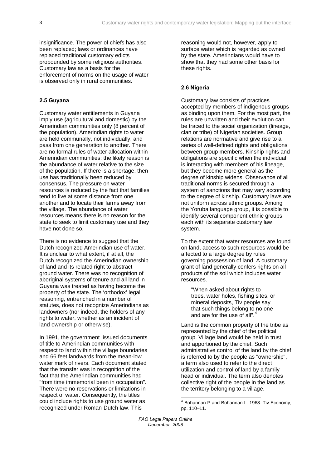<span id="page-8-0"></span>insignificance. The power of chiefs has also been replaced; laws or ordinances have replaced traditional customary edicts propounded by some religious authorities. Customary law as a basis for the enforcement of norms on the usage of water is observed only in rural communities.

## **2.5 Guyana**

Customary water entitlements in Guyana imply use (agricultural and domestic) by the Amerindian communities only (8 percent of the population). Amerindian rights to water are held communally, not individually, and pass from one generation to another. There are no formal rules of water allocation within Amerindian communities: the likely reason is the abundance of water relative to the size of the population. If there is a shortage, then use has traditionally been reduced by consensus. The pressure on water resources is reduced by the fact that families tend to live at some distance from one another and to locate their farms away from the village. The abundance of water resources means there is no reason for the state to seek to limit customary use and they have not done so.

There is no evidence to suggest that the Dutch recognized Amerindian use of water. It is unclear to what extent, if at all, the Dutch recognized the Amerindian ownership of land and its related right to abstract ground water. There was no recognition of aboriginal systems of tenure and all land in Guyana was treated as having become the property of the state. The 'orthodox' legal reasoning, entrenched in a number of statutes, does not recognize Amerindians as landowners (nor indeed, the holders of any rights to water, whether as an incident of land ownership or otherwise).

<span id="page-8-1"></span>In 1991, the government issued documents of title to Amerindian communities with respect to land within the village boundaries and 66 feet landwards from the mean-low water mark of rivers. Each document stated that the transfer was in recognition of the fact that the Amerindian communities had "from time immemorial been in occupation". There were no reservations or limitations in respect of water. Consequently, the titles could include rights to use ground water as recognized under Roman-Dutch law. This

reasoning would not, however, apply to surface water which is regarded as owned by the state. Amerindians would have to show that they had some other basis for these rights.

#### **2.6 Nigeria**

Customary law consists of practices accepted by members of indigenous groups as binding upon them. For the most part, the rules are unwritten and their evolution can be traced to the social organization (lineage, clan or tribe) of Nigerian societies. Group relations are normative and give rise to a series of well-defined rights and obligations between group members. Kinship rights and obligations are specific when the individual is interacting with members of his lineage, but they become more general as the degree of kinship widens. Observance of all traditional norms is secured through a system of sanctions that may vary according to the degree of kinship. Customary laws are not uniform across ethnic groups. Among the Yoruba language group, it is possible to identify several component ethnic groups each with its separate customary law system.

To the extent that water resources are found on land, access to such resources would be affected to a large degree by rules governing possession of land. A customary grant of land generally confers rights on all products of the soil which includes water resources.

"When asked about rights to trees, water holes, fishing sites, or mineral deposits, Tiv people say that such things belong to no one and are for the use of all".[4](#page-8-1)

Land is the common property of the tribe as represented by the chief of the political group. Village land would be held in trust and apportioned by the chief. Such administrative control of the land by the chief is referred to by the people as "ownership", a term also used to refer to the direct utilization and control of land by a family head or individual. The term also denotes collective right of the people in the land as the territory belonging to a village.

 4 Bohannan P and Bohannan L. 1968. Tiv Economy, pp. 110–11.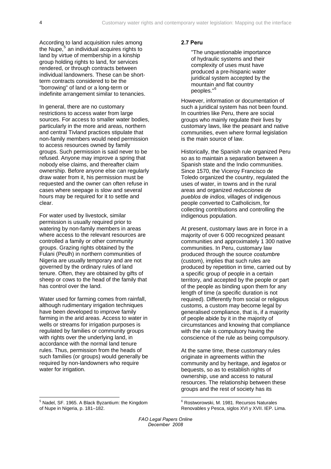<span id="page-9-0"></span>According to land acquisition rules among the Nupe,<sup>[5](#page-9-1)</sup> an individual acquires rights to land by virtue of membership in a kinship group holding rights to land, for services rendered, or through contracts between individual landowners. These can be shortterm contracts considered to be the "borrowing" of land or a long-term or indefinite arrangement similar to tenancies.

In general, there are no customary restrictions to access water from large sources. For access to smaller water bodies, particularly in the more arid areas, northern and central Tivland practices stipulate that non-family members would need permission to access resources owned by family groups. Such permission is said never to be refused. Anyone may improve a spring that nobody else claims, and thereafter claim ownership. Before anyone else can regularly draw water from it, his permission must be requested and the owner can often refuse in cases where seepage is slow and several hours may be required for it to settle and clear.

For water used by livestock, similar permission is usually required prior to watering by non-family members in areas where access to the relevant resources are controlled a family or other community groups. Grazing rights obtained by the Fulani (Peulh) in northern communities of Nigeria are usually temporary and are not governed by the ordinary rules of land tenure. Often, they are obtained by gifts of sheep or cows to the head of the family that has control over the land.

Water used for farming comes from rainfall, although rudimentary irrigation techniques have been developed to improve family farming in the arid areas. Access to water in wells or streams for irrigation purposes is regulated by families or community groups with rights over the underlying land, in accordance with the normal land tenure rules. Thus, permission from the heads of such families (or groups) would generally be required by non-landowners who require water for irrigation.

#### **2.7 Peru**

"The unquestionable importance of hydraulic systems and their complexity of uses must have produced a pre-hispanic water juridical system accepted by the mountain and flat country peoples."<sup>[6](#page-9-1)</sup>

However, information or documentation of such a juridical system has not been found. In countries like Peru, there are social groups who mainly regulate their lives by customary laws, like the peasant and native communities, even where formal legislation is the main source of law.

Historically, the Spanish rule organized Peru so as to maintain a separation between a Spanish state and the Indio communities. Since 1570, the Viceroy Francisco de Toledo organized the country, regulated the uses of water, in towns and in the rural areas and organized *reducciones de pueblos de indios,* villages of indigenous people converted to Catholicism, for collecting contributions and controlling the indigenous population.

At present, customary laws are in force in a majority of over 6 000 recognized peasant communities and approximately 1 300 native communities. In Peru, customary law produced through the source *costumbre* (custom), implies that such rules are produced by repetition in time, carried out by a specific group of people in a certain territory, and accepted by the people or part of the people as binding upon them for any length of time (a specific duration is not required). Differently from social or religious customs, a custom may become legal by generalised compliance, that is, if a majority of people abide by it in the majority of circumstances and knowing that compliance with the rule is compulsory having the conscience of the rule as being compulsory.

At the same time, these customary rules originate in agreements within the community and by heritage, and *legatos* or bequests, so as to establish rights of ownership, use and access to natural resources. The relationship between these groups and the rest of society has its

<span id="page-9-1"></span><sup>-&</sup>lt;br>5  $5$  Nadel, SF. 1965. A Black Byzantium: the Kingdom of Nupe in Nigeria, p. 181–182.

<sup>6</sup> Rostworowski, M. 1981. Recursos Naturales Renovables y Pesca, siglos XVI y XVII. IEP. Lima.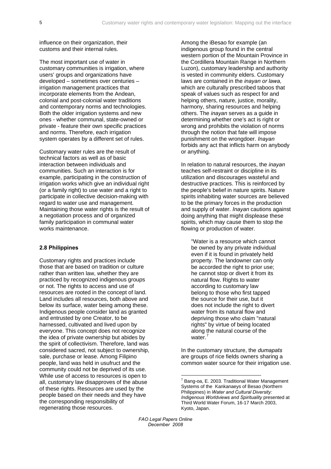<span id="page-10-0"></span>influence on their organization, their customs and their internal rules.

The most important use of water in customary communities is irrigation, where users' groups and organizations have developed – sometimes over centuries – irrigation management practices that incorporate elements from the Andean, colonial and post-colonial water traditions and contemporary norms and technologies. Both the older irrigation systems and new ones - whether communal, state-owned or private - feature their own specific practices and norms. Therefore, each irrigation system operates by a different set of rules.

Customary water rules are the result of technical factors as well as of basic interaction between individuals and communities. Such an interaction is for example, participating in the construction of irrigation works which give an individual right (or a family right) to use water and a right to participate in collective decision-making with regard to water use and management. Maintaining those water rights is the result of a negotiation process and of organized family participation in communal water works maintenance.

## **2.8 Philippines**

<span id="page-10-1"></span>Customary rights and practices include those that are based on tradition or culture rather than written law, whether they are practiced by recognized indigenous groups or not. The rights to access and use of resources are rooted in the concept of land. Land includes all resources, both above and below its surface, water being among these. Indigenous people consider land as granted and entrusted by one Creator, to be harnessed, cultivated and lived upon by everyone. This concept does not recognize the idea of private ownership but abides by the spirit of collectivism. Therefore, land was considered sacred, not subject to ownership, sale, purchase or lease. Among Filipino people, land was held in usufruct and the community could not be deprived of its use. While use of access to resources is open to all, customary law disapproves of the abuse of these rights. Resources are used by the people based on their needs and they have the corresponding responsibility of regenerating those resources.

Among the iBesao for example (an indigenous group found in the central western portion of the Mountain Province in the Cordillera Mountain Range in Northern Luzon), customary leadership and authority is vested in community elders. Customary laws are contained in the *inayan or lawa,*  which are culturally prescribed taboos that speak of values such as respect for and helping others, nature, justice, morality, harmony, sharing resources and helping others. The *inayan* serves as a guide in determining whether one's act is right or wrong and prohibits the violation of norms through the notion that fate will impose punishment on the wrongdoer. *Inayan* forbids any act that inflicts harm on anybody or anything.

In relation to natural resources, the *inayan* teaches self-restraint or discipline in its utilization and discourages wasteful and destructive practices. This is reinforced by the people's belief in nature spirits. Nature spirits inhabiting water sources are believed to be the primary forces in the production and supply of water. *Inayan* cautions against doing anything that might displease these spirits, which may cause them to stop the flowing or production of water.

"Water is a resource which cannot be owned by any private individual even if it is found in privately held property. The landowner can only be accorded the right to prior use; he cannot stop or divert it from its natural flow. Rights to water according to customary law belong to those who first tapped the source for their use, but it does not include the right to divert water from its natural flow and depriving those who claim "natural rights" by virtue of being located along the natural course of the water.<sup>[7](#page-10-1)</sup>

In the customary structure, the *dumapats*  are groups of rice fields owners sharing a common water source for their irrigation use.

 7 Bang-oa, E. 2003. Traditional Water Management Systems of the Kankanaeys of Besao (Northern Philippines) in *Water and Cultural Diversity: Indigenous Worldviews and Spirituality* presented at Third World Water Forum, 16-17 March 2003, Kyoto, Japan.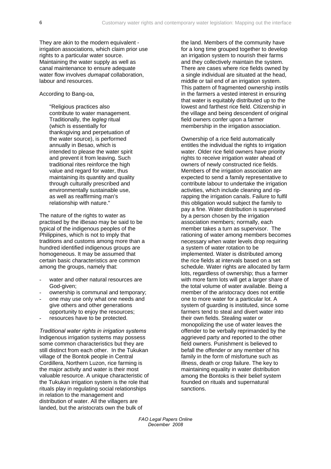They are akin to the modern equivalent irrigation associations, which claim prior use rights to a particular water source. Maintaining the water supply as well as canal maintenance to ensure adequate water flow involves *dumapat* collaboration, labour and resources.

#### According to Bang-oa,

"Religious practices also contribute to water management. Traditionally, the *legleg* ritual (which is essentially for thanksgiving and perpetuation of the water source), is performed annually in Besao, which is intended to please the water spirit and prevent it from leaving. Such traditional rites reinforce the high value and regard for water, thus maintaining its quantity and quality through culturally prescribed and environmentally sustainable use, as well as reaffirming man's relationship with nature."

The nature of the rights to water as practised by the iBesao may be said to be typical of the indigenous peoples of the Philippines, which is not to imply that traditions and customs among more than a hundred identified indigenous groups are homogeneous. It may be assumed that certain basic characteristics are common among the groups, namely that:

- water and other natural resources are God-given;
- ownership is communal and temporary;
- one may use only what one needs and give others and other generations opportunity to enjoy the resources;
- resources have to be protected.

*Traditional water rights in irrigation systems*  Indigenous irrigation systems may possess some common characteristics but they are still distinct from each other. In the Tukukan village of the Bontok people in Central Cordillera, Northern Luzon, rice farming is the major activity and water is their most valuable resource. A unique characteristic of the Tukukan irrigation system is the role that rituals play in regulating social relationships in relation to the management and distribution of water. All the villagers are landed, but the aristocrats own the bulk of

the land. Members of the community have for a long time grouped together to develop an irrigation system to nourish their farms and they collectively maintain the system. There are cases where rice fields owned by a single individual are situated at the head, middle or tail end of an irrigation system. This pattern of fragmented ownership instils in the farmers a vested interest in ensuring that water is equitably distributed up to the lowest and farthest rice field. Citizenship in the village and being descendent of original field owners confer upon a farmer membership in the irrigation association.

Ownership of a rice field automatically entitles the individual the rights to irrigation water. Older rice field owners have priority rights to receive irrigation water ahead of owners of newly constructed rice fields. Members of the irrigation association are expected to send a family representative to contribute labour to undertake the irrigation activities, which include cleaning and riprapping the irrigation canals. Failure to fulfil this obligation would subject the family to pay a fine. Water distribution is supervised by a person chosen by the irrigation association members; normally, each member takes a turn as supervisor. The rationing of water among members becomes necessary when water levels drop requiring a system of water rotation to be implemented. Water is distributed among the rice fields at intervals based on a set schedule. Water rights are allocated by farm lots, regardless of ownership; thus a farmer with more farm lots will get a larger share of the total volume of water available. Being a member of the aristocracy does not entitle one to more water for a particular lot. A system of guarding is instituted, since some farmers tend to steal and divert water into their own fields. Stealing water or monopolizing the use of water leaves the offender to be verbally reprimanded by the aggrieved party and reported to the other field owners. Punishment is believed to befall the offender or any member of his family in the form of misfortune such as illness, death or crop failure. The key to maintaining equality in water distribution among the Bontoks is their belief system founded on rituals and supernatural sanctions.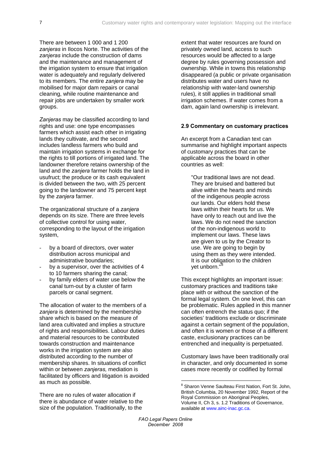<span id="page-12-0"></span>There are between 1 000 and 1 200 *zanjeras* in Ilocos Norte. The activities of the *zanjeras* include the construction of dams and the maintenance and management of the irrigation system to ensure that irrigation water is adequately and regularly delivered to its members. The entire *zanjera* may be mobilised for major dam repairs or canal cleaning, while routine maintenance and repair jobs are undertaken by smaller work groups.

*Zanjeras* may be classified according to land rights and use: one type encompasses farmers which assist each other in irrigating lands they cultivate, and the second includes landless farmers who build and maintain irrigation systems in exchange for the rights to till portions of irrigated land. The landowner therefore retains ownership of the land and the *zanjera* farmer holds the land in usufruct; the produce or its cash equivalent is divided between the two, with 25 percent going to the landowner and 75 percent kept by the *zanjera* farmer.

The organizational structure of a *zanjera* depends on its size. There are three levels of collective control for using water, corresponding to the layout of the irrigation system,

- by a board of directors, over water distribution across municipal and administrative boundaries;
- by a supervisor, over the activities of 4 to 10 farmers sharing the canal;
- by family elders of water use below the canal turn-out by a cluster of farm parcels or canal segment.

The allocation of water to the members of a *zanjera* is determined by the membership share which is based on the measure of land area cultivated and implies a structure of rights and responsibilities. Labour duties and material resources to be contributed towards construction and maintenance works in the irrigation system are also distributed according to the number of membership shares. In situations of conflict within or between *zanjeras,* mediation is facilitated by officers and litigation is avoided as much as possible.

<span id="page-12-1"></span>There are no rules of water allocation if there is abundance of water relative to the size of the population. Traditionally, to the

extent that water resources are found on privately owned land, access to such resources would be affected to a large degree by rules governing possession and ownership. While in towns this relationship disappeared (a public or private organisation distributes water and users have no relationship with water-land ownership rules), it still applies in traditional small irrigation schemes. If water comes from a dam, again land ownership is irrelevant.

#### **2.9 Commentary on customary practices**

An excerpt from a Canadian text can summarise and highlight important aspects of customary practices that can be applicable across the board in other countries as well:

"Our traditional laws are not dead. They are bruised and battered but alive within the hearts and minds of the indigenous people across our lands. Our elders hold these laws within their hearts for us. We have only to reach out and live the laws. We do not need the sanction of the non-indigenous world to implement our laws. These laws are given to us by the Creator to use. We are going to begin by using them as they were intended. It is our obligation to the children yet unborn."

This except highlights an important issue: customary practices and traditions take place with or without the sanction of the formal legal system. On one level, this can be problematic. Rules applied in this manner can often entrench the status quo; if the societies' traditions exclude or discriminate against a certain segment of the population, and often it is women or those of a different caste, exclusionary practices can be entrenched and inequality is perpetuated.

Customary laws have been traditionally oral in character, and only documented in some cases more recently or codified by formal

<u>.</u>

<sup>&</sup>lt;sup>8</sup> Sharon Venne Saulteau First Nation, Fort St. John, British Columbia, 20 November 1992, Report of the Royal Commission on Aboriginal Peoples, Volume II, Ch 3, s. 1.2 Traditions of Governance, available at www.ainc-inac.gc.ca.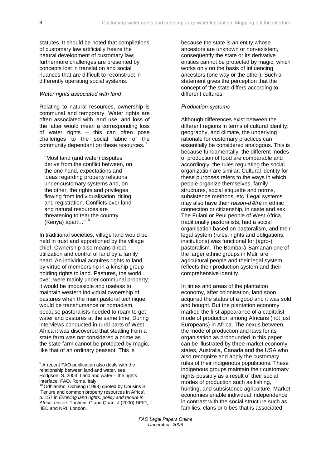statutes. It should be noted that compilations of customary law artificially freeze the natural development of customary law; furthermore challenges are presented by concepts lost in translation and social nuances that are difficult to reconstruct in differently operating social systems.

#### *Water rights associated with land*

Relating to natural resources, ownership is communal and temporary. Water rights are often associated with land use, and loss of the latter would mean a corresponding loss of water rights – this can often pose challenges to the social fabric of the community dependant on these resources.<sup>[9](#page-13-0)</sup>

"Most land (and water) disputes derive from the conflict between, on the one hand, expectations and ideas regarding property relations under customary systems and, on the other, the rights and privileges flowing from individualisation, titling and registration. Conflicts over land and natural resources are threatening to tear the country (Kenya) apart…"[10](#page-13-1) 

In traditional societies, village land would be held in trust and apportioned by the village chief. Ownership also means direct utilization and control of land by a family head. An individual acquires rights to land by virtue of membership in a kinship group holding rights to land. Pastures, the world over, were mainly under communal property: it would be impossible and useless to maintain western individual ownership of pastures when the main pastoral technique would be transhumance or nomadism, because pastoralists needed to roam to get water and pastures at the same time. During interviews conducted in rural parts of West Africa it was discovered that stealing from a state farm was not considered a crime as the state farm cannot be protected by magic, like that of an ordinary peasant. This is

1

because the state is an entity whose ancestors are unknown or non-existent, consequently the state or its derivative entities cannot be protected by magic, which works only on the basis of influencing ancestors (one way or the other). Such a statement gives the perception that the concept of the state differs according to different cultures.

#### *Production systems*

Although differences exist between the different regions in terms of cultural identity, geography, and climate, the underlying rationale for customary practices can essentially be considered analogous. This is because fundamentally, the different modes of production of food are comparable and accordingly, the rules regulating the social organization are similar. Cultural identity for these purposes refers to the ways in which people organize themselves, family structures, social etiquette and norms, subsistence methods, etc. Legal systems may also have their *raison-d'être* in ethnic connection or citizenship, in caste and sex. The Fulani or Peul people of West Africa, traditionally pastoralists, had a social organisation based on pastoralism, and their legal system (rules, rights and obligations, institutions) was functional for (agro-) pastoralism. The Bambarà-Bamanan one of the larger ethnic groups in Mali, are agricultural people and their legal system reflects their production system and their comprehensive identity.

In times and areas of the plantation economy, after colonisation, land soon acquired the status of a good and it was sold and bought. But the plantation economy marked the first appearance of a capitalist mode of production among Africans (not just Europeans) in Africa. The nexus between the mode of production and laws for its organisation as propounded in this paper can be illustrated by three market economy states, Australia, Canada and the USA who also recognize and apply the customary rules of their indigenous populations. These indigenous groups maintain their customary rights possibly as a result of their social modes of production such as fishing, hunting, and subsistence agriculture. Market economies enable individual independence in contrast with the social structure such as families, clans or tribes that is associated

<span id="page-13-0"></span><sup>&</sup>lt;sup>9</sup> A recent FAO publication also deals with the relationship between land and water, see Hodgson, S. 2004. Land and water – the rights interface. FAO. Rome, Italy.

<span id="page-13-1"></span><sup>&</sup>lt;sup>10</sup> Odhiambo, Ochieng (1999) quoted by Cousins B. 'Tenure and common property resources in Africa', p. 157 in *Evolving land rights, policy and tenure in Africa*, editors Toulmin, C and Quan, J (2000) DFID, IIED and NRI. London.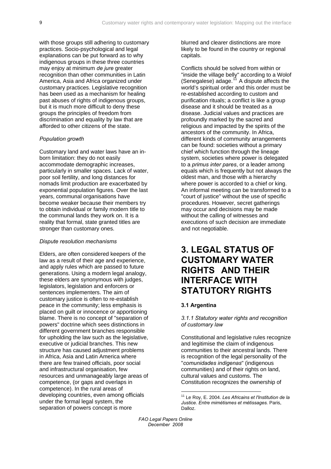<span id="page-14-0"></span>with those groups still adhering to customary practices. Socio-psychological and legal explanations can be put forward as to why indigenous groups in these three countries may enjoy at minimum *de jure* greater recognition than other communities in Latin America, Asia and Africa organized under customary practices. Legislative recognition has been used as a mechanism for healing past abuses of rights of indigenous groups, but it is much more difficult to deny these groups the principles of freedom from discrimination and equality by law that are afforded to other citizens of the state.

#### *Population growth*

Customary land and water laws have an inborn limitation: they do not easily accommodate demographic increases, particularly in smaller spaces. Lack of water, poor soil fertility, and long distances for nomads limit production are exacerbated by exponential population figures. Over the last years, communal organisations have become weaker because their members try to obtain individual or family modern title to the communal lands they work on. It is a reality that formal, state granted titles are stronger than customary ones.

#### *Dispute resolution mechanisms*

Elders, are often considered keepers of the law as a result of their age and experience, and apply rules which are passed to future generations. Using a modern legal analogy, these elders are synonymous with judges, legislators, legislation and enforcers or sentences implementers. The aim of customary justice is often to re-establish peace in the community; less emphasis is placed on guilt or innocence or apportioning blame. There is no concept of "separation of powers" doctrine which sees distinctions in different government branches responsible for upholding the law such as the legislative, executive or judicial branches. This new structure has caused adjustment problems in Africa, Asia and Latin America where there are few trained officials, poor social and infrastructural organisation, few resources and unmanageably large areas of competence, (or gaps and overlaps in competence). In the rural areas of developing countries, even among officials under the formal legal system, the separation of powers concept is more

blurred and clearer distinctions are more likely to be found in the country or regional capitals.

Conflicts should be solved from within or "inside the village belly" according to a Wolof (Senegalese) adage.<sup>[11](#page-14-1)</sup> A dispute affects the world's spiritual order and this order must be re-established according to custom and purification rituals; a conflict is like a group disease and it should be treated as a disease. Judicial values and practices are profoundly marked by the sacred and religious and impacted by the spirits of the ancestors of the community. In Africa, different kinds of community arrangements can be found: societies without a primary chief which function through the lineage system, societies where power is delegated to a *primus inter pares*, or a leader among equals which is frequently but not always the oldest man, and those with a hierarchy where power is accorded to a chief or king. An informal meeting can be transformed to a "court of justice" without the use of specific procedures. However, secret gatherings may occur and decisions may be made without the calling of witnesses and executions of such decision are immediate and not negotiable.

## **3. LEGAL STATUS OF CUSTOMARY WATER RIGHTS AND THEIR INTERFACE WITH STATUTORY RIGHTS**

### **3.1 Argentina**

#### *3.1.1 Statutory water rights and recognition of customary law*

Constitutional and legislative rules recognize and legitimise the claim of indigenous communities to their ancestral lands. There is recognition of the legal personality of the "*comunidades indigenas*" (indigenous communities) and of their rights on land, cultural values and customs. The Constitution recognizes the ownership of

<span id="page-14-1"></span>*FAO Legal Papers Online December 2008* 

1

<sup>11</sup> Le Roy, E. 2004. *Les Africains et l'Institution de la Justice. Entre mimétismes et métissages.* Paris, Dalloz.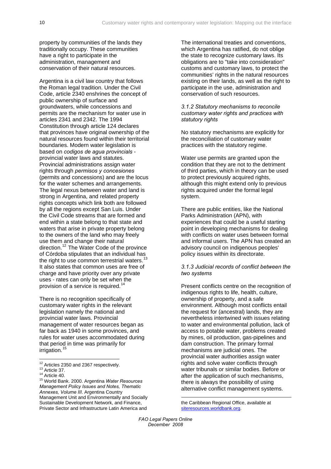property by communities of the lands they traditionally occupy. These communities have a right to participate in the administration, management and conservation of their natural resources.

Argentina is a civil law country that follows the Roman legal tradition. Under the Civil Code, article 2340 enshrines the concept of public ownership of surface and groundwaters, while concessions and permits are the mechanism for water use in articles 2341 and 2342. The 1994 Constitution through article 124 declares that provinces have original ownership of the natural resources found within their territorial boundaries. Modern water legislation is based on *codigos de agua provincials* provincial water laws and statutes. Provincial administrations assign water rights through *permisos y concesiones* (permits and concessions) and are the locus for the water schemes and arrangements. The legal nexus between water and land is strong in Argentina, and related property rights concepts which link both are followed by all the regions except San Luis. Under the Civil Code streams that are formed and end within a state belong to that state and waters that arise in private property belong to the owners of the land who may freely use them and change their natural direction.<sup>[12](#page-15-0)</sup> The Water Code of the province of Córdoba stipulates that an individual has the right to use common terrestrial waters. $13$ It also states that common uses are free of charge and have priority over any private uses - rates can only be set when the provision of a service is required.<sup>[14](#page-15-2)</sup>

There is no recognition specifically of customary water rights in the relevant legislation namely the national and provincial water laws. Provincial management of water resources began as far back as 1940 in some provinces, and rules for water uses accommodated during that period in time was primarily for irrigation.<sup>[15](#page-15-3)</sup>

The international treaties and conventions, which Argentina has ratified, do not oblige the state to recognize customary laws. Its obligations are to "take into consideration" customs and customary laws, to protect the communities' rights in the natural resources existing on their lands, as well as the right to participate in the use, administration and conservation of such resources.

#### *3.1.2 Statutory mechanisms to reconcile customary water rights and practices with statutory rights*

No statutory mechanisms are explicitly for the reconciliation of customary water practices with the statutory regime.

Water use permits are granted upon the condition that they are not to the detriment of third parties, which in theory can be used to protect previously acquired rights, although this might extend only to previous rights acquired under the formal legal system.

There are public entities, like the National Parks Administration (APN), with experiences that could be a useful starting point in developing mechanisms for dealing with conflicts on water uses between formal and informal users. The APN has created an advisory council on indigenous peoples' policy issues within its directorate.

#### *3.1.3 Judicial records of conflict between the two systems*

Present conflicts centre on the recognition of indigenous rights to life, health, culture, ownership of property, and a safe environment. Although most conflicts entail the request for (ancestral) lands, they are nevertheless intertwined with issues relating to water and environmental pollution, lack of access to potable water, problems created by mines, oil production, gas-pipelines and dam construction. The primary formal mechanisms are judicial ones. The provincial water authorities assign water rights and solve water conflicts through water tribunals or similar bodies. Before or after the application of such mechanisms, there is always the possibility of using alternative conflict management systems.

the Caribbean Regional Office, available at [siteresources.worldbank.org](http://siteresources.worldbank.org/INTWRD/926624-1112685065402/20434096/ArgentinaWRMPolicyIssuesNotesThematicAnnexesEnglish.pdf).

1

<span id="page-15-0"></span><sup>&</sup>lt;sup>12</sup> Articles 2350 and 2367 respectively.

<span id="page-15-3"></span>

<span id="page-15-2"></span><span id="page-15-1"></span><sup>13</sup> Article 37.<br>
14 Article 40.<br>
<sup>15</sup> World Bank. 2000. Argentina *Water Resources Management Policy Issues and Notes, Thematic Annexes, Volume III*. Argentina Country Management Unit and Environmentally and Socially Sustainable Development Network, and Finance, Private Sector and Infrastructure Latin America and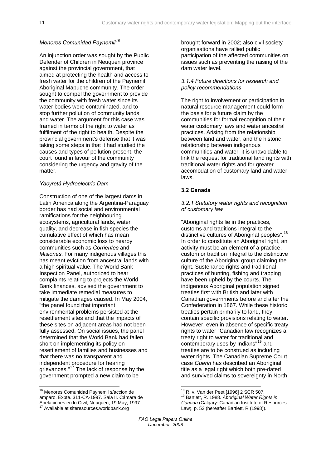#### <span id="page-16-0"></span>*Menores Comunidad Paynemil[16](#page-16-1)*

An injunction order was sought by the Public Defender of Children in Neuquen province against the provincial government, that aimed at protecting the health and access to fresh water for the children of the Paynemil Aboriginal Mapuche community. The order sought to compel the government to provide the community with fresh water since its water bodies were contaminated, and to stop further pollution of community lands and water. The argument for this case was framed in terms of the right to water as fulfilment of the right to health. Despite the provincial government's defense that it was taking some steps in that it had studied the causes and types of pollution present, the court found in favour of the community considering the urgency and gravity of the matter.

#### *Yacyretá Hydroelectric Dam*

Construction of one of the largest dams in Latin America along the Argentina-Paraguay border has had social and environmental ramifications for the neighbouring ecosystems, agricultural lands, water quality, and decrease in fish species the cumulative effect of which has mean considerable economic loss to nearby communities such as *Corrientes* and *Misiones*. For many indigenous villages this has meant eviction from ancestral lands with a high spiritual value. The World Bank Inspection Panel, authorized to hear complaints relating to projects the World Bank finances, advised the government to take immediate remedial measures to mitigate the damages caused. In May 2004, "the panel found that important environmental problems persisted at the resettlement sites and that the impacts of these sites on adjacent areas had not been fully assessed. On social issues, the panel determined that the World Bank had fallen short on implementing its policy on resettlement of families and businesses and that there was no transparent and independent procedure for hearing grievances."<sup>[17](#page-16-2)</sup> The lack of response by the government prompted a new claim to be

brought forward in 2002; also civil society organisations have rallied public participation of the affected communities on issues such as preventing the raising of the dam water level.

#### *3.1.4 Future directions for research and policy recommendations*

The right to involvement or participation in natural resource management could form the basis for a future claim by the communities for formal recognition of their water customary laws and water ancestral practices. Arising from the relationship between land and water, and the historic relationship between indigenous communities and water, it is unavoidable to link the request for traditional land rights with traditional water rights and for greater accomodation of customary land and water laws.

#### **3.2 Canada**

#### *3.2.1 Statutory water rights and recognition of customary law*

"Aboriginal rights lie in the practices, customs and traditions integral to the distinctive cultures of Aboriginal peoples".<sup>[18](#page-16-1)</sup> In order to constitute an Aboriginal right, an activity must be an element of a practice, custom or tradition integral to the distinctive culture of the Aboriginal group claiming the right. Sustenance rights and traditional practices of hunting, fishing and trapping have been upheld by the courts. The indigenous Aboriginal population signed treaties first with British and later with Canadian governments before and after the Confederation in 1867. While these historic treaties pertain primarily to land, they contain specific provisions relating to water. However, even in absence of specific treaty rights to water "Canadian law recognizes a treaty right to water for traditional and contemporary uses by Indians"[19](#page-16-3) and treaties are to be construed as including water rights. The Canadian Supreme Court case *Guerin* has described an Aboriginal title as a legal right which both pre-dated and survived claims to sovereignty in North

<span id="page-16-3"></span><span id="page-16-2"></span><span id="page-16-1"></span>16 Menores Comunidad Paynemil s/accion de amparo, Expte. 311-CA-1997. Sala II. Cámara de Apelaciones en lo Civil, Neuquen, 19 May, 1997. Available at siteresources.worldbank.org

<sup>&</sup>lt;sup>18</sup> R. v. Van der Peet [1996] 2 SCR 507.<br><sup>19</sup> Bartlett, R. 1988. *Aboriginal Water Rights in Canada* (Calgary: Canadian Institute of Resources Law), p. 52 (hereafter Bartlett, R (1998)).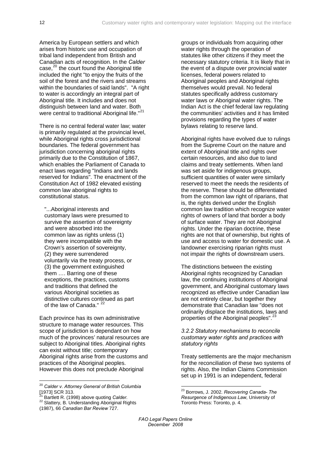America by European settlers and which arises from historic use and occupation of tribal land independent from British and Canadian acts of recognition. In the *Calder* case,<sup>[20](#page-17-0)</sup> the court found the Aboriginal title included the right "to enjoy the fruits of the soil of the forest and the rivers and streams within the boundaries of said lands". "A right to water is accordingly an integral part of Aboriginal title. It includes and does not distinguish between land and water. Both were central to traditional Aboriginal life."<sup>[21](#page-17-1)</sup>

There is no central federal water law; water is primarily regulated at the provincial level, while Aboriginal rights cross jurisdictional boundaries. The federal government has jurisdiction concerning aboriginal rights primarily due to the Constitution of 1867, which enables the Parliament of Canada to enact laws regarding "Indians and lands reserved for Indians". The enactment of the Constitution Act of 1982 elevated existing common law aboriginal rights to constitutional status.

"...Aboriginal interests and customary laws were presumed to survive the assertion of sovereignty and were absorbed into the common law as rights unless (1) they were incompatible with the Crown's assertion of sovereignty, (2) they were surrendered voluntarily via the treaty process, or (3) the government extinguished them …. Barring one of these exceptions, the practices, customs and traditions that defined the various Aboriginal societies as distinctive cultures continued as part of the law of Canada." <sup>[22](#page-17-2)</sup>

Each province has its own administrative structure to manage water resources. This scope of jurisdiction is dependant on how much of the provinces' natural resources are subject to Aboriginal titles. Aboriginal rights can exist without title; contemporary Aboriginal rights arise from the customs and practices of the Aboriginal peoples. However this does not preclude Aboriginal

- <span id="page-17-3"></span><span id="page-17-1"></span>
- 22 Slattery, B. Understanding Aboriginal Rights

groups or individuals from acquiring other water rights through the operation of statutes like other citizens if they meet the necessary statutory criteria. It is likely that in the event of a dispute over provincial water licenses, federal powers related to Aboriginal peoples and Aboriginal rights themselves would prevail. No federal statutes specifically address customary water laws or Aboriginal water rights. The Indian Act is the chief federal law regulating the communities' activities and it has limited provisions regarding the types of water bylaws relating to reserve land.

Aboriginal rights have evolved due to rulings from the Supreme Court on the nature and extent of Aboriginal title and rights over certain resources, and also due to land claims and treaty settlements. When land was set aside for indigenous groups, sufficient quantities of water were similarly reserved to meet the needs the residents of the reserve. These should be differentiated from the common law right of riparians, that is, the rights derived under the English common law tradition which recognize water rights of owners of land that border a body of surface water. They are not Aboriginal rights. Under the riparian doctrine, these rights are not that of ownership, but rights of use and access to water for domestic use. A landowner exercising riparian rights must not impair the rights of downstream users.

The distinctions between the existing Aboriginal rights recognized by Canadian law, the continuing institutions of Aboriginal government, and Aboriginal customary laws recognized as effective under Canadian law are not entirely clear, but together they demonstrate that Canadian law "does not ordinarily displace the institutions, laws and properties of the Aboriginal peoples".<sup>[23](#page-17-3)</sup>

*3.2.2 Statutory mechanisms to reconcile customary water rights and practices with statutory rights* 

Treaty settlements are the major mechanism for the reconciliation of these two systems of rights. Also, the Indian Claims Commission set up in 1991 is an independent, federal

<span id="page-17-0"></span><sup>20</sup> *Calder v. Attorney General of British Columbia* [1973] SCR 313.<br><sup>21</sup> Bartlett R. (1998) above quoting Calder.

<span id="page-17-2"></span><sup>(1987), 66</sup> *Canadian Bar Review* 727.

<sup>23</sup> Borrows, J. 2002. *Recovering Canada- The Resurgence of Indigenous Law*, University of Toronto Press: Toronto, p. 4.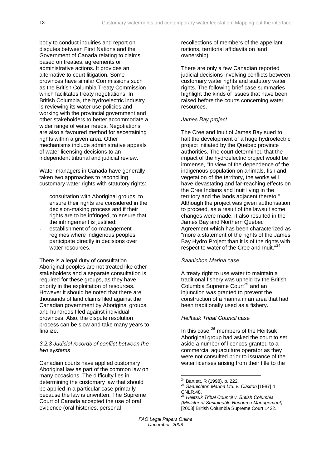body to conduct inquiries and report on disputes between First Nations and the Government of Canada relating to claims based on treaties, agreements or administrative actions. It provides an alternative to court litigation. Some provinces have similar Commissions such as the British Columbia Treaty Commission which facilitates treaty negotiations. In British Columbia, the hydroelectric industry is reviewing its water use policies and working with the provincial government and other stakeholders to better accommodate a wider range of water needs. Negotiations are also a favoured method for ascertaining rights within a given area. Other mechanisms include administrative appeals of water licensing decisions to an independent tribunal and judicial review.

Water managers in Canada have generally taken two approaches to reconciling customary water rights with statutory rights:

- consultation with Aboriginal groups, to ensure their rights are considered in the decision-making process and if their rights are to be infringed, to ensure that the infringement is justified;
- establishment of co-management regimes where indigenous peoples participate directly in decisions over water resources.

There is a legal duty of consultation. Aboriginal peoples are not treated like other stakeholders and a separate consultation is required for these groups, as they have priority in the exploitation of resources. However it should be noted that there are thousands of land claims filed against the Canadian government by Aboriginal groups, and hundreds filed against individual provinces. Also, the dispute resolution process can be slow and take many years to finalize.

### *3.2.3 Judicial records of conflict between the two systems*

<span id="page-18-2"></span><span id="page-18-1"></span><span id="page-18-0"></span>Canadian courts have applied customary Aboriginal law as part of the common law on many occasions. The difficulty lies in determining the customary law that should be applied in a particular case primarily because the law is unwritten. The Supreme Court of Canada accepted the use of oral evidence (oral histories, personal

recollections of members of the appellant nations, territorial affidavits on land ownership).

There are only a few Canadian reported judicial decisions involving conflicts between customary water rights and statutory water rights. The following brief case summaries highlight the kinds of issues that have been raised before the courts concerning water resources.

#### *James Bay project*

The Cree and Inuit of James Bay sued to halt the development of a huge hydroelectric project initiated by the Quebec province authorities. The court determined that the impact of the hydroelectric project would be immense, "In view of the dependence of the indigenous population on animals, fish and vegetation of the territory, the works will have devastating and far-reaching effects on the Cree Indians and Inuit living in the territory and the lands adjacent thereto." Although the project was given authorisation to proceed, as a result of the lawsuit some changes were made. It also resulted in the James Bay and Northern Quebec Agreement which has been characterized as "more a statement of the rights of the James Bay Hydro Project than it is of the rights with respect to water of the Cree and Inuit."[24](#page-18-0)

#### *Saanichon Marina* case

A treaty right to use water to maintain a traditional fishery was upheld by the British Columbia Supreme Court<sup>[25](#page-18-1)</sup> and an injunction was granted to prevent the construction of a marina in an area that had been traditionally used as a fishery.

#### *Heiltsuk Tribal Council* case

In this case, $^{26}$  $^{26}$  $^{26}$  members of the Heiltsuk Aboriginal group had asked the court to set aside a number of licences granted to a commercial aquaculture operator as they were not consulted prior to issuance of the water licenses arising from their title to the

<sup>&</sup>lt;sup>24</sup> Bartlett, R (1998), p. 222.

<sup>24</sup> Bartlett, R (1998), p. 222. 25 *Saanichton Marina Ltd. v. Claxton* [1987] 4 CNLR.48.

<sup>26</sup> *Heiltsuk Tribal Council v. British Columbia (Minister of Sustainable Resource Management)* [2003] British Columbia Supreme Court 1422.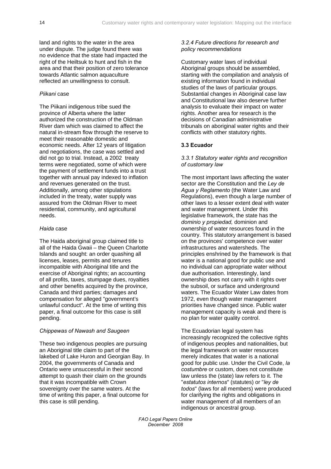<span id="page-19-0"></span>land and rights to the water in the area under dispute. The judge found there was no evidence that the state had impacted the right of the Heiltsuk to hunt and fish in the area and that their position of zero tolerance towards Atlantic salmon aquaculture reflected an unwillingness to consult.

### *Piikani* case

The Piikani indigenous tribe sued the province of Alberta where the latter authorized the construction of the Oldman River dam which was claimed to affect the natural in-stream flow through the reserve to meet their reasonable domestic and economic needs. After 12 years of litigation and negotiations, the case was settled and did not go to trial. Instead, a 2002 treaty terms were negotiated, some of which were the payment of settlement funds into a trust together with annual pay indexed to inflation and revenues generated on the trust. Additionally, among other stipulations included in the treaty, water supply was assured from the Oldman River to meet residential, community, and agricultural needs.

## *Haida* case

The Haida aboriginal group claimed title to all of the Haida Gwaii – the Queen Charlotte Islands and sought: an order quashing all licenses, leases, permits and tenures incompatible with Aboriginal title and the exercise of Aboriginal rights; an accounting of all profits, taxes, stumpage dues, royalties and other benefits acquired by the province, Canada and third parties; damages and compensation for alleged "government's unlawful conduct". At the time of writing this paper, a final outcome for this case is still pending.

#### *Chippewas of Nawash and Saugeen*

These two indigenous peoples are pursuing an Aboriginal title claim to part of the lakebed of Lake Huron and Georgian Bay. In 2004, the governments of Canada and Ontario were unsuccessful in their second attempt to quash their claim on the grounds that it was incompatible with Crown sovereignty over the same waters. At the time of writing this paper, a final outcome for this case is still pending.

## *3.2.4 Future directions for research and policy recommendations*

Customary water laws of individual Aboriginal groups should be assembled, starting with the compilation and analysis of existing information found in individual studies of the laws of particular groups. Substantial changes in Aboriginal case law and Constitutional law also deserve further analysis to evaluate their impact on water rights. Another area for research is the decisions of Canadian administrative tribunals on aboriginal water rights and their conflicts with other statutory rights.

## **3.3 Ecuador**

*3.3.1 Statutory water rights and recognition of customary law* 

The most important laws affecting the water sector are the Constitution and the *Ley de Agua y Reglamento* (the Water Law and Regulations), even though a large number of other laws to a lesser extent deal with water and water management. Under this legislative framework, the state has the *dominio y propiedad,* dominion and ownership of water resources found in the country. This statutory arrangement is based on the provinces' competence over water infrastructures and watersheds. The principles enshrined by the framework is that water is a national good for public use and no individual can appropriate water without due authorisation. Interestingly, land ownership does not carry with it rights over the subsoil, or surface and underground waters. The Ecuador Water Law dates from 1972, even though water management priorities have changed since. Public water management capacity is weak and there is no plan for water quality control.

The Ecuadorian legal system has increasingly recognized the collective rights of indigenous peoples and nationalities, but the legal framework on water resources merely indicates that water is a national good for public use. Under the Civil Code, *la costumbre* or custom, does not constitute law unless the (state) law refers to it. The "*estatutos internos*" (statutes) or "*ley de todos*" (laws for all members) were produced for clarifying the rights and obligations in water management of all members of an indigenous or ancestral group.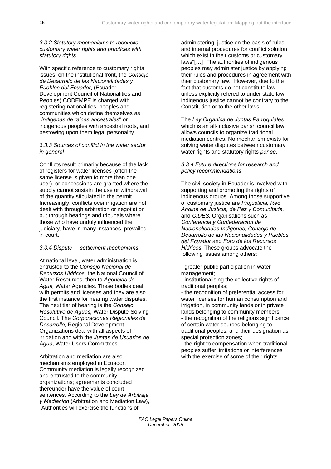### *3.3.2 Statutory mechanisms to reconcile customary water rights and practices with statutory rights*

With specific reference to customary rights issues, on the institutional front, the *Consejo de Desarrollo de las Nacionalidades y Pueblos del Ecuador*, (Ecuador Development Council of Nationalities and Peoples) CODEMPE is charged with registering nationalities, peoples and communities which define themselves as "*indigenas de raices ancestrales*" or indigenous peoples with ancestral roots, and bestowing upon them legal personality.

## *3.3.3 Sources of conflict in the water sector in general*

Conflicts result primarily because of the lack of registers for water licenses (often the same license is given to more than one user), or concessions are granted where the supply cannot sustain the use or withdrawal of the quantity stipulated in the permit. Increasingly, conflicts over irrigation are not dealt with through arbitration or negotiation but through hearings and tribunals where those who have unduly influenced the judiciary, have in many instances, prevailed in court.

## *3.3.4 Dispute settlement mechanisms*

At national level, water administration is entrusted to the *Consejo Nacional de Recursos Hidricos*, the National Council of Water Resources, then to *Agencias de Agua,* Water Agencies. These bodies deal with permits and licenses and they are also the first instance for hearing water disputes. The next tier of hearing is the *Consejo Resolutivo de Aguas,* Water Dispute-Solving Council*.* The *Corporaciones Regionales de Desarrollo,* Regional Development Organizations deal with all aspects of irrigation and with the *Juntas de Usuarios de Agua*, Water Users Committees.

Arbitration and mediation are also mechanisms employed in Ecuador. Community mediation is legally recognized and entrusted to the community organizations; agreements concluded thereunder have the value of court sentences. According to the *Ley de Arbitraje y Mediacion* (Arbitration and Mediation Law), "Authorities will exercise the functions of

administering justice on the basis of rules and internal procedures for conflict solution which exist in their customs or customary laws"[…] "The authorities of indigenous peoples may administer justice by applying their rules and procedures in agreement with their customary law." However, due to the fact that customs do not constitute law unless explicitly refered to under state law, indigenous justice cannot be contrary to the Constitution or to the other laws.

The *Ley Organica de Juntas Parroquiales* which is an all-inclusive parish council law. allows councils to organize traditional mediation centres. No mechanism exists for solving water disputes between customary water rights and statutory rights *per se*.

#### *3.3.4 Future directions for research and policy recommendations*

The civil society in Ecuador is involved with supporting and promoting the rights of indigenous groups. Among those supportive of customary justice are *Projusticia, Red Andina de Justicia, de Paz y Comunitaria,*  and *CIDES.* Organisations such as *Conferencia y Confederacion de Nacionalidades Indigenas, Consejo de Desarrollo de las Nacionalidades y Pueblos del Ecuador* and *Foro de los Recursos Hidricos.* These groups advocate the following issues among others:

- greater public participation in water management;

- institutionalising the collective rights of traditional peoples;

- the recognition of preferential access for water licenses for human consumption and irrigation, in community lands or in private lands belonging to community members; - the recognition of the religious significance of certain water sources belonging to traditional peoples, and their designation as special protection zones;

- the right to compensation when traditional peoples suffer limitations or interferences with the exercise of some of their rights.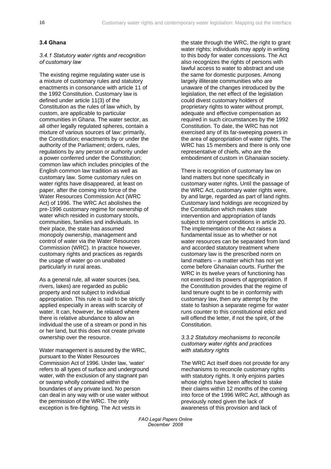## <span id="page-21-0"></span>**3.4 Ghana**

#### *3.4.1 Statutory water rights and recognition of customary law*

The existing regime regulating water use is a mixture of customary rules and statutory enactments in consonance with article 11 of the 1992 Constitution. Customary law is defined under article 11(3) of the Constitution as the rules of law which, by custom, are applicable to particular communities in Ghana. The water sector, as all other legally regulated spheres, contain a mixture of various sources of law: primarily, the Constitution; enactments by or under the authority of the Parliament; orders, rules, regulations by any person or authority under a power conferred under the Constitution; common law which includes principles of the English common law tradition as well as customary law. Some customary rules on water rights have disappeared, at least on paper, after the coming into force of the Water Resources Commission Act (WRC Act) of 1996*.* The WRC Act abolishes the pre-1996 customary regime for ownership of water which resided in customary stools, communities, families and individuals. In their place, the state has assumed monopoly ownership, management and control of water via the Water Resources Commission (WRC). In practice however, customary rights and practices as regards the usage of water go on unabated particularly in rural areas.

As a general rule, all water sources (sea, rivers, lakes) are regarded as public property and not subject to individual appropriation. This rule is said to be strictly applied especially in areas with scarcity of water. It can, however, be relaxed where there is relative abundance to allow an individual the use of a stream or pond in his or her land, but this does not create private ownership over the resource.

Water management is assured by the WRC, pursuant to the Water Resources Commission Act of 1996. Under law, 'water' refers to all types of surface and underground water, with the exclusion of any stagnant pan or swamp wholly contained within the boundaries of any private land. No person can deal in any way with or use water without the permission of the WRC. The only exception is fire-fighting. The Act vests in

the state through the WRC, the right to grant water rights; individuals may apply in writing to this body for water concessions. The Act also recognizes the rights of persons with lawful access to water to abstract and use the same for domestic purposes. Among largely illiterate communities who are unaware of the changes introduced by the legislation, the net effect of the legislation could divest customary holders of proprietary rights to water without prompt, adequate and effective compensation as required in such circumstances by the 1992 Constitution. To date, the WRC has not exercised any of its far-sweeping powers in the area of appropriation of water rights. The WRC has 15 members and there is only one representative of chiefs, who are the embodiment of custom in Ghanaian society.

There is recognition of customary law on land matters but none specifically in customary water rights. Until the passage of the WRC Act, customary water rights were, by and large, regarded as part of land rights. Customary land holdings are recognized by the Constitution which makes state intervention and appropriation of lands subject to stringent conditions in article 20. The implementation of the Act raises a fundamental issue as to whether or not water resources can be separated from land and accorded statutory treatment where customary law is the prescribed norm on land matters – a matter which has not yet come before Ghanaian courts. Further the WRC in its twelve years of functioning has not exercised its powers of appropriation. If the Constitution provides that the regime of land tenure ought to be in conformity with customary law, then any attempt by the state to fashion a separate regime for water runs counter to this constitutional edict and will offend the letter, if not the spirit, of the Constitution.

#### *3.3.2 Statutory mechanisms to reconcile customary water rights and practices with statutory rights*

The WRC Act itself does not provide for any mechanisms to reconcile customary rights with statutory rights. It only enjoins parties whose rights have been affected to stake their claims within 12 months of the coming into force of the 1996 WRC Act, although as previously noted given the lack of awareness of this provision and lack of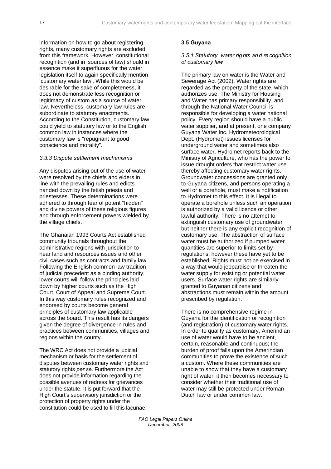<span id="page-22-0"></span>information on how to go about registering rights, many customary rights are excluded from this framework. However, constitutional recognition (and in 'sources of law) should in essence make it superfluous for the water legislation itself to again specifically mention 'customary water law'. While this would be desirable for the sake of completeness, it does not demonstrate less recognition or legitimacy of custom as a source of water law. Nevertheless, customary law rules are subordinate to statutory enactments. According to the Constitution, customary law could yield to statutory law or to the English common law in instances where the customary law is "repugnant to good conscience and morality".

## *3.3.3 Dispute settlement mechanisms*

Any disputes arising out of the use of water were resolved by the chiefs and elders in line with the prevailing rules and edicts handed down by the fetish priests and priestesses. These determinations were adhered to through fear of potent "hidden" and divine powers of these religious figures and through enforcement powers wielded by the village chiefs.

The Ghanaian 1993 Courts Act established community tribunals throughout the administrative regions with jurisdiction to hear land and resources issues and other civil cases such as contracts and family law. Following the English common law tradition of judicial precedent as a binding authority, lower courts will follow the principles laid down by higher courts such as the High Court, Court of Appeal and Supreme Court. In this way customary rules recognized and endorsed by courts become general principles of customary law applicable across the board. This result has its dangers given the degree of divergence in rules and practices between communities, villages and regions within the county.

The WRC Act does not provide a judicial mechanism or basis for the settlement of disputes between customary water rights and statutory rights *per se*. Furthermore the Act does not provide information regarding the possible avenues of redress for grievances under the statute. It is put forward that the High Court's supervisory jurisdiction or the protection of property rights under the constitution could be used to fill this lacunae.

### **3.5 Guyana**

### *3.5.1 Statutory water rig hts an d re cognition of customary law*

The primary law on water is the Water and Sewerage Act (2002). Water rights are regarded as the property of the state, which authorizes use. The Ministry for Housing and Water has primary responsibility, and through the National Water Council is responsible for developing a water national policy. Every region should have a public water supplier, and at present, one company Guyana Water Inc. Hydrometeorological Dept. (Hydromet) issues licenses for underground water and sometimes also surface water. Hydromet reports back to the Ministry of Agriculture, who has the power to issue drought orders that restrict water use thereby affecting customary water rights. Groundwater concessions are granted only to Guyana citizens, and persons operating a well or a borehole, must make a notification to Hydromet to this effect. It is illegal to operate a borehole unless such an operation is authorized by a valid licence or other lawful authority*.* There is no attempt to extinguish customary use of groundwater but neither there is any explicit recognition of customary use. The abstraction of surface water must be authorized if pumped water quantities are superior to limits set by regulations; however these have yet to be established. Rights must not be exercised in a way that would jeopardise or threaten the water supply for existing or potential water users. Surface water rights are similarly granted to Guyanan citizens and abstractions must remain within the amount prescribed by regulation.

There is no comprehensive regime in Guyana for the identification or recognition (and registration) of customary water rights. In order to qualify as customary, Amerindian use of water would have to be ancient, certain, reasonable and continuous; the burden of proof falls upon the Amerindian communities to prove the existence of such a custom. Where these communities are unable to show that they have a customary right of water, it then becomes necessary to consider whether their traditional use of water may still be protected under Roman-Dutch law or under common law.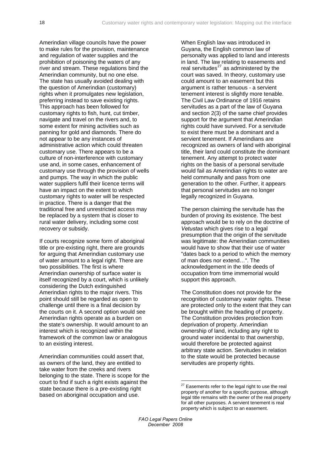Amerindian village councils have the power to make rules for the provision, maintenance and regulation of water supplies and the prohibition of poisoning the waters of any river and stream. These regulations bind the Amerindian community, but no one else. The state has usually avoided dealing with the question of Amerindian (customary) rights when it promulgates new legislation, preferring instead to save existing rights. This approach has been followed for customary rights to fish, hunt, cut timber, navigate and travel on the rivers and, to some extent for mining activities such as panning for gold and diamonds. There do not appear to be any instances of administrative action which could threaten customary use. There appears to be a culture of non-interference with customary use and, in some cases, enhancement of customary use through the provision of wells and pumps. The way in which the public water suppliers fulfil their licence terms will have an impact on the extent to which customary rights to water will be respected in practice. There is a danger that the traditional free and unrestricted access may be replaced by a system that is closer to rural water delivery, including some cost recovery or subsidy.

If courts recognize some form of aboriginal title or pre-existing right, there are grounds for arguing that Amerindian customary use of water amount to a legal right. There are two possibilities. The first is where Amerindian ownership of surface water is itself recognized by a court, which is unlikely considering the Dutch extinguished Amerindian rights to the major rivers. This point should still be regarded as open to challenge until there is a final decision by the courts on it. A second option would see Amerindian rights operate as a burden on the state's ownership. It would amount to an interest which is recognized within the framework of the common law or analogous to an existing interest.

<span id="page-23-0"></span>Amerindian communities could assert that, as owners of the land, they are entitled to take water from the creeks and rivers belonging to the state. There is scope for the court to find if such a right exists against the state because there is a pre-existing right based on aboriginal occupation and use.

When English law was introduced in Guyana, the English common law of personalty was applied to land and interests in land. The law relating to easements and real servitudes $^{27}$  $^{27}$  $^{27}$  as administered by the court was saved. In theory, customary use could amount to an easement but this argument is rather tenuous - a servient tenement interest is slightly more tenable. The Civil Law Ordinance of 1916 retains servitudes as a part of the law of Guyana and section 2(3) of the same chief provides support for the argument that Amerindian rights could have survived. For a servitude to exist there must be a dominant and a servient tenement. If Amerindians are recognized as owners of land with aboriginal title, their land could constitute the dominant tenement. Any attempt to protect water rights on the basis of a personal servitude would fail as Amerindian rights to water are held communally and pass from one generation to the other. Further, it appears that personal servitudes are no longer legally recognized in Guyana.

The person claiming the servitude has the burden of proving its existence. The best approach would be to rely on the doctrine of *Vetustas* which gives rise to a legal presumption that the origin of the servitude was legitimate: the Amerindian communities would have to show that their use of water "dates back to a period to which the memory of man does nor extend…". The acknowledgement in the title deeds of occupation from time immemorial would support this approach.

The Constitution does not provide for the recognition of customary water rights. These are protected only to the extent that they can be brought within the heading of property. The Constitution provides protection from deprivation of property. Amerindian ownership of land, including any right to ground water incidental to that ownership, would therefore be protected against arbitrary state action. Servitudes in relation to the state would be protected because servitudes are property rights.

<u>.</u>

 $27$  Easements refer to the legal right to use the real property of another for a specific purpose, although legal title remains with the owner of the real property for all other purposes. A servient tenement is real property which is subject to an easement.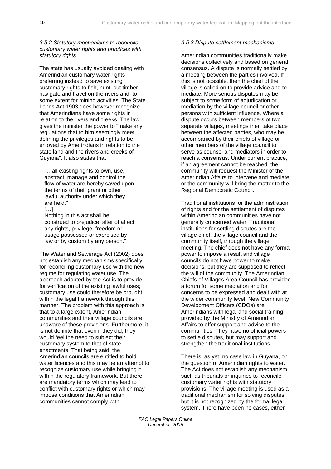*3.5.2 Statutory mechanisms to reconcile customary water rights and practices with statutory rights* 

The state has usually avoided dealing with Amerindian customary water rights preferring instead to save existing customary rights to fish, hunt, cut timber, navigate and travel on the rivers and, to some extent for mining activities. The State Lands Act 1903 does however recognize that Amerindians have some rights in relation to the rivers and creeks. The law gives the minister the power to "make any regulations that to him seemingly meet defining the privileges and rights to be enjoyed by Amerindians in relation to the state land and the rivers and creeks of Guyana". It also states that

"…all existing rights to own, use, abstract, manage and control the flow of water are hereby saved upon the terms of their grant or other lawful authority under which they are held."

[…]

Nothing in this act shall be construed to prejudice, alter of affect any rights, privilege, freedom or usage possessed or exercised by law or by custom by any person."

The Water and Sewerage Act (2002) does not establish any mechanisms specifically for reconciling customary use with the new regime for regulating water use. The approach adopted by the Act is to provide for verification of the existing lawful uses; customary use could therefore be brought within the legal framework through this manner. The problem with this approach is that to a large extent, Amerindian communities and their village councils are unaware of these provisions. Furthermore, it is not definite that even if they did, they would feel the need to subject their customary system to that of state enactments. That being said, the Amerindian councils are entitled to hold water licences and this may be an attempt to recognize customary use while bringing it within the regulatory framework. But there are mandatory terms which may lead to conflict with customary rights or which may impose conditions that Amerindian communities cannot comply with.

## *3.5.3 Dispute settlement mechanisms*

Amerindian communities traditionally make decisions collectively and based on general consensus. A dispute is normally settled by a meeting between the parties involved. If this is not possible, then the chief of the village is called on to provide advice and to mediate. More serious disputes may be subject to some form of adjudication or mediation by the village council or other persons with sufficient influence. Where a dispute occurs between members of two separate villages, meetings then take place between the affected parties, who may be accompanied by their chiefs of village or other members of the village council to serve as counsel and mediators in order to reach a consensus. Under current practice, if an agreement cannot be reached, the community will request the Minister of the Amerindian Affairs to intervene and mediate, or the community will bring the matter to the Regional Democratic Council.

Traditional institutions for the administration of rights and for the settlement of disputes within Amerindian communities have not generally concerned water. Traditional institutions for settling disputes are the village chief, the village council and the community itself, through the village meeting. The chief does not have any formal power to impose a result and village councils do not have power to make decisions, but they are supposed to reflect the will of the community. The Amerindian Chiefs of Villages Area Council has provided a forum for some mediation and for concerns to be expressed and dealt with at the wider community level. New Community Development Officers (CDOs) are Amerindians with legal and social training provided by the Ministry of Amerindian Affairs to offer support and advice to the communities. They have no official powers to settle disputes, but may support and strengthen the traditional institutions.

There is, as yet, no case law in Guyana, on the question of Amerindian rights to water. The Act does not establish any mechanism such as tribunals or inquiries to reconcile customary water rights with statutory provisions. The village meeting is used as a traditional mechanism for solving disputes, but it is not recognized by the formal legal system. There have been no cases, either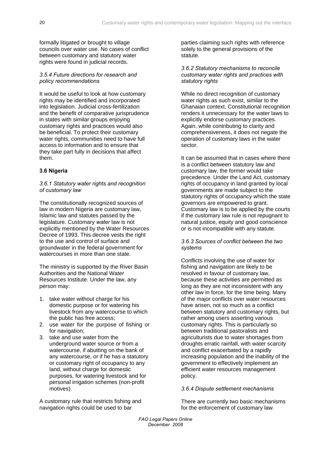<span id="page-25-0"></span>formally litigated or brought to village councils over water use. No cases of conflict between customary and statutory water rights were found in judicial records.

### *3.5.4 Future directions for research and policy recommendations*

It would be useful to look at how customary rights may be identified and incorporated into legislation. Judicial cross-fertilization and the benefit of comparative jurisprudence in states with similar groups enjoying customary rights and practices would also be beneficial. To protect their customary water rights, communities need to have full access to information and to ensure that they take part fully in decisions that affect them.

## **3.6 Nigeria**

### *3.6.1 Statutory water rights and recognition of customary law*

The constitutionally recognized sources of law in modern Nigeria are customary law, Islamic law and statutes passed by the legislature. Customary *water* law is not explicitly mentioned by the Water Resources Decree of 1993. This decree vests the right to the use and control of surface and groundwater in the federal government for watercourses in more than one state.

The ministry is supported by the River Basin Authorities and the National Water Resources Institute. Under the law, any person may:

- 1. take water without charge for his domestic purpose or for watering his livestock from any watercourse to which the public has free access;
- 2. use water for the purpose of fishing or for navigation;
- 3. take and use water from the underground water source or from a watercourse, if abutting on the bank of any watercourse, or if he has a statutory or customary right of occupancy to any land, without charge for domestic purposes, for watering livestock and for personal irrigation schemes (non-profit motives).

A customary rule that restricts fishing and navigation rights could be used to bar

parties claiming such rights with reference solely to the general provisions of the statute.

#### *3.6.2 Statutory mechanisms to reconcile customary water rights and practices with statutory rights*

While no direct recognition of customary water rights as such exist, similar to the Ghanaian context, Constitutional recognition renders it unnecessary for the water laws to explicitly endorse customary practices. Again, while contributing to clarity and comprehensiveness, it does not negate the operation of customary laws in the water sector.

It can be assumed that in cases where there is a conflict between statutory law and customary law, the former would take precedence. Under the Land Act, customary rights of occupancy in land granted by local governments are made subject to the statutory rights of occupancy which the state governors are empowered to grant. Customary law is to be applied by the courts if the customary law rule is not repugnant to natural justice, equity and good conscience or is not incompatible with any statute.

## *3.6.3 Sources of conflict between the two systems*

Conflicts involving the use of water for fishing and navigation are likely to be resolved in favour of customary law, because these activities are permitted as long as they are not inconsistent with any other law in force, for the time being. Many of the major conflicts over water resources have arisen, not so much as a conflict between statutory and customary rights, but rather among users asserting various customary rights. This is particularly so between traditional pastoralists and agriculturists due to water shortages from droughts erratic rainfall, with water scarcity and conflict exacerbated by a rapidly increasing population and the inability of the government to effectively implement an efficient water resources management policy.

## *3.6.4 Dispute settlement mechanisms*

There are currently two basic mechanisms for the enforcement of customary law.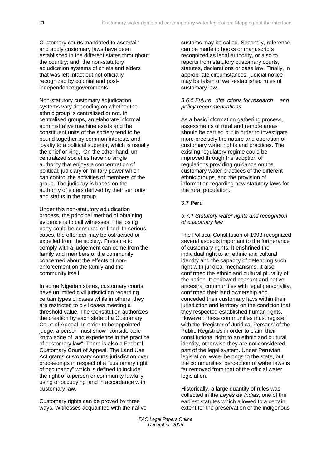<span id="page-26-0"></span>Customary courts mandated to ascertain and apply customary laws have been established in the different states throughout the country; and, the non-statutory adjudication systems of chiefs and elders that was left intact but not officially recognized by colonial and postindependence governments.

Non-statutory customary adjudication systems vary depending on whether the ethnic group is centralised or not. In centralised groups, an elaborate informal administrative machine exists and the constituent units of the society tend to be bound together by common interests and loyalty to a political superior, which is usually the chief or king. On the other hand, uncentralized societies have no single authority that enjoys a concentration of political, judiciary or military power which can control the activities of members of the group. The judiciary is based on the authority of elders derived by their seniority and status in the group.

Under this non-statutory adjudication process, the principal method of obtaining evidence is to call witnesses. The losing party could be censured or fined. In serious cases, the offender may be ostracised or expelled from the society. Pressure to comply with a judgement can come from the family and members of the community concerned about the effects of nonenforcement on the family and the community itself.

In some Nigerian states, customary courts have unlimited civil jurisdiction regarding certain types of cases while in others, they are restricted to civil cases meeting a threshold value. The Constitution authorizes the creation by each state of a Customary Court of Appeal. In order to be appointed judge, a person must show "considerable knowledge of, and experience in the practice of customary law". There is also a Federal Customary Court of Appeal. The Land Use Act grants customary courts jurisdiction over proceedings in respect of a "customary right of occupancy" which is defined to include the right of a person or community lawfully using or occupying land in accordance with customary law.

Customary rights can be proved by three ways. Witnesses acquainted with the native customs may be called. Secondly, reference can be made to books or manuscripts recognized as legal authority, or also to reports from statutory customary courts, statutes, declarations or case law. Finally, in appropriate circumstances, judicial notice may be taken of well-established rules of customary law.

#### *3.6.5 Future dire ctions for research and policy recommendations*

As a basic information gathering process, assessments of rural and remote areas should be carried out in order to investigate more precisely the nature and operation of customary water rights and practices. The existing regulatory regime could be improved through the adoption of regulations providing guidance on the customary water practices of the different ethnic groups, and the provision of information regarding new statutory laws for the rural population.

## **3.7 Peru**

### *3.7.1 Statutory water rights and recognition of customary law*

The Political Constitution of 1993 recognized several aspects important to the furtherance of customary rights. It enshrined the individual right to an ethnic and cultural identity and the capacity of defending such right with juridical mechanisms. It also confirmed the ethnic and cultural plurality of the nation. It endowed peasant and native ancestral communities with legal personality, confirmed their land ownership and conceded their customary laws within their jurisdiction and territory on the condition that they respected established human rights. However, these communities must register with the 'Register of Juridical Persons' of the Public Registries in order to claim their constitutional right to an ethnic and cultural identity, otherwise they are not considered part of the legal system. Under Peruvian legislation, water belongs to the state, but the communities' perception of water laws is far removed from that of the official water legislation.

Historically, a large quantity of rules was collected in the *Leyes de Indias*, one of the earliest statutes which allowed to a certain extent for the preservation of the indigenous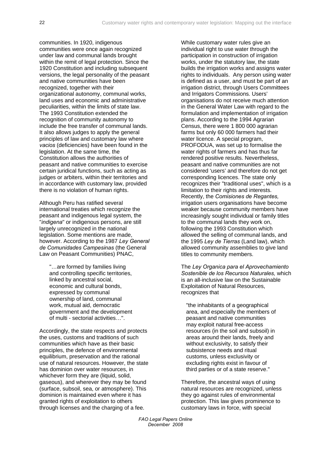communities. In 1920, indigenous communities were once again recognized under law and communal lands brought within the remit of legal protection. Since the 1920 Constitution and including subsequent versions, the legal personality of the peasant and native communities have been recognized, together with their organizational autonomy, communal works, land uses and economic and administrative peculiarities, within the limits of state law. The 1993 Constitution extended the recognition of community autonomy to include the free transfer of communal lands. It also allows judges to apply the general principles of law and customary law where *vacios* (deficiencies) have been found in the legislation. At the same time, the Constitution allows the authorities of peasant and native communities to exercise certain juridical functions, such as acting as judges or arbiters, within their territories and in accordance with customary law, provided there is no violation of human rights.

Although Peru has ratified several international treaties which recognize the peasant and indigenous legal system, the "*indigena*" or indigenous persons, are still largely unrecognized in the national legislation. Some mentions are made, however. According to the 1987 *Ley General de Comunidades Campesinas* (the General Law on Peasant Communities) PNAC,

"…are formed by families living and controlling specific territories, linked by ancestral social, economic and cultural bonds, expressed by communal ownership of land, communal work, mutual aid, democratic government and the development of multi - sectorial activities…".

Accordingly, the state respects and protects the uses, customs and traditions of such communities which have as their basic principles, the defence of environmental equilibrium, preservation and the rational use of natural resources. However, the state has dominion over water resources, in whichever form they are (liquid, solid, gaseous), and wherever they may be found (surface, subsoil, sea, or atmosphere). This dominion is maintained even where it has granted rights of exploitation to others through licenses and the charging of a fee.

While customary water rules give an individual right to use water through the participation in construction of irrigation works, under the statutory law, the state builds the irrigation works and assigns water rights to individuals. Any person using water is defined as a user, and must be part of an irrigation district, through Users Committees and Irrigators Commissions*.* Users' organisations do not receive much attention in the General Water Law with regard to the formulation and implementation of irrigation plans. According to the 1994 Agrarian Census, there were 1 800 000 agrarian farms but only 60 000 farmers had their water licence. A special program, PROFODUA, was set up to formalise the water rights of farmers and has thus far rendered positive results. Nevertheless, peasant and native communities are not considered 'users' and therefore do not get corresponding licences. The state only recognizes their "traditional uses", which is a limitation to their rights and interests. Recently, the *Comisiones de Regantes,* irrigation users organisations have become weaker because community members have increasingly sought individual or family titles to the communal lands they work on, following the 1993 Constitution which allowed the selling of communal lands, and the 1995 *Ley de Tierras* (Land law), which allowed community assemblies to give land titles to community members.

The *Ley Organica para el Aprovechamiento Sostenible de los Recursos Naturales,* which is an all-inclusive law on the Sustainable Exploitation of Natural Resources, recognizes that

"the inhabitants of a geographical area, and especially the members of peasant and native communities may exploit natural free-access resources (in the soil and subsoil) in areas around their lands, freely and without exclusivity, to satisfy their subsistence needs and ritual customs, unless exclusivity or excluding rights exist in favour of third parties or of a state reserve."

Therefore, the ancestral ways of using natural resources are recognized, unless they go against rules of environmental protection. This law gives prominence to customary laws in force, with special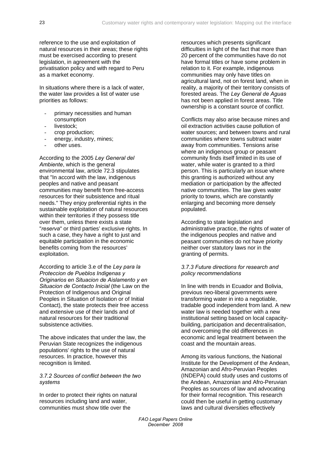reference to the use and exploitation of natural resources in their areas; these rights must be exercised according to present legislation, in agreement with the privatisation policy and with regard to Peru as a market economy.

In situations where there is a lack of water*,* the water law provides a list of water use priorities as follows:

- primary necessities and human consumption
- livestock:
- crop production;
- energy, industry, mines;
- other uses.

According to the 2005 *Ley General del Ambiente*, which is the general environmental law, article 72.3 stipulates that "In accord with the law, indigenous peoples and native and peasant communities may benefit from free-access resources for their subsistence and ritual needs." They enjoy preferential rights in the sustainable exploitation of natural resources within their territories if they possess title over them, unless there exists a state "*reserva*" or third parties' exclusive rights. In such a case, they have a right to just and equitable participation in the economic benefits coming from the resources' exploitation.

According to article 3.e of the *Ley para la Proteccion de Pueblos Indigenas y Originarios en Situacion de Aislamento y en Situacion de Contacto Inicial* (the Law on the Protection of Indigenous and Original Peoples in Situation of Isolation or of Initial Contact), the state protects their free access and extensive use of their lands and of natural resources for their traditional subsistence activities.

The above indicates that under the law, the Peruvian State recognizes the indigenous populations' rights to the use of natural resources. In practice, however this recognition is limited.

#### *3.7.2 Sources of conflict between the two systems*

In order to protect their rights on natural resources including land and water, communities must show title over the

resources which presents significant difficulties in light of the fact that more than 20 percent of the communities have do not have formal titles or have some problem in relation to it. For example, indigenous communities may only have titles on agricultural land, not on forest land, when in reality, a majority of their territory consists of forested areas. The *Ley General de Aguas* has not been applied in forest areas. Title ownership is a constant source of conflict.

Conflicts may also arise because mines and oil extraction activities cause pollution of water sources; and between towns and rural communities where towns subtract water away from communities. Tensions arise where an indigenous group or peasant community finds itself limited in its use of water, while water is granted to a third person. This is particularly an issue where this granting is authorized without any mediation or participation by the affected native communities. The law gives water priority to towns, which are constantly enlarging and becoming more densely populated.

According to state legislation and administrative practice, the rights of water of the indigenous peoples and native and peasant communities do not have priority neither over statutory laws nor in the granting of permits.

#### *3.7.3 Future directions for research and policy recommendations*

In line with trends in Ecuador and Bolivia, previous neo-liberal governments were transforming water in into a negotiable, tradable good independent from land. A new water law is needed together with a new institutional setting based on local capacitybuilding, participation and decentralisation, and overcoming the old differences in economic and legal treatment between the coast and the mountain areas.

Among its various functions, the National Institute for the Development of the Andean, Amazonian and Afro-Peruvian Peoples (INDEPA) could study uses and customs of the Andean, Amazonian and Afro-Peruvian Peoples as sources of law and advocating for their formal recognition. This research could then be useful in getting customary laws and cultural diversities effectively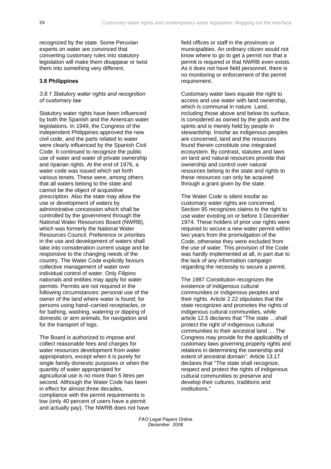<span id="page-29-0"></span>recognized by the state. Some Peruvian experts on water are convinced that converting customary rules into statutory legislation will make them disappear or twist them into something very different.

## **3.8 Philippines**

#### *3.8.1 Statutory water rights and recognition of customary law*

Statutory water rights have been influenced by both the Spanish and the American water legislations. In 1949, the Congress of the independent Philippines approved the new civil code, and the parts related to water were clearly influenced by the Spanish Civil Code. It continued to recognize the public use of water and water of private ownership and riparian rights. At the end of 1976, a water code was issued which set forth various tenets. These were, among others that all waters belong to the state and cannot be the object of acquisitive prescription. Also the state may allow the use or development of waters by administrative concession which shall be controlled by the government through the National Water Resources Board (NWRB), which was formerly the National Water Resources Council. Preference or priorities in the use and development of waters shall take into consideration current usage and be responsive to the changing needs of the country. The Water Code explicitly favours collective management of water over individual control of water. Only Filipino nationals and entities may apply for water permits. Permits are not required in the following circumstances: personal use of the owner of the land where water is found; for persons using hand–carried receptacles, or for bathing, washing, watering or dipping of domestic or arm animals, for navigation and for the transport of logs.

The Board is authorized to impose and collect reasonable fees and charges for water resources development from water appropriators, except when it is purely for single family domestic purposes or when the quantity of water appropriated for agricultural use is no more than 5 litres per second. Although the Water Code has been in effect for almost three decades, compliance with the permit requirements is low (only 40 percent of users have a permit and actually pay). The NWRB does not have field offices or staff in the provinces or municipalities. An ordinary citizen would not know where to go to get a permit nor that a permit is required or that NWRB even exists. As it does not have field personnel, there is no monitoring or enforcement of the permit requirement.

Customary water laws equate the right to access and use water with land ownership, which is communal in nature*.* Land, including those above and below its surface, is considered as owned by the gods and the spirits and is merely held by people in stewardship. Insofar as indigenous peoples are concerned, land and the resources found therein constitute one integrated ecosystem*.* By contrast, statutes and laws on land and natural resources provide that ownership and control over natural resources belong to the state and rights to these resources can only be acquired through a grant given by the state.

The Water Code is silent insofar as customary water rights are concerned. Section 95 recognizes claims to the right to use water existing on or before 3 December 1974. These holders of prior use rights were required to secure a new water permit within two years from the promulgation of the Code, otherwise they were excluded from the use of water. This provision of the Code was hardly implemented at all, in part due to the lack of any information campaign regarding the necessity to secure a permit.

The 1987 Constitution recognizes the existence of indigenous cultural communities or indigenous peoples and their rights. Article 2.22 stipulates that the state recognizes and promotes the rights of indigenous cultural communities, while article 12.5 declares that "The state …shall protect the right of indigenous cultural communities to their ancestral land … The Congress may provide for the applicability of customary laws governing property rights and relations in determining the ownership and extent of ancestral domain". Article 13.17 declares that "The state shall recognize, respect and protect the rights of indigenous cultural communities to preserve and develop their cultures, traditions and institutions."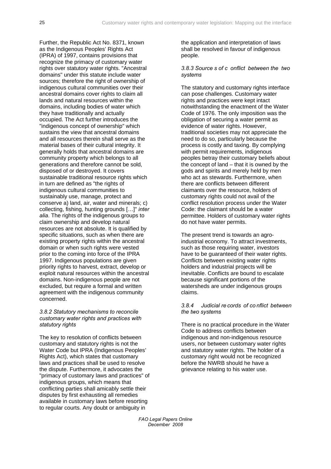Further, the Republic Act No. 8371, known as the Indigenous Peoples' Rights Act (IPRA) of 1997, contains provisions that recognize the primacy of customary water rights over statutory water rights. "Ancestral domains" under this statute include water sources; therefore the right of ownership of indigenous cultural communities over their ancestral domains cover rights to claim all lands and natural resources within the domains, including bodies of water which they have traditionally and actually occupied. The Act further introduces the "indigenous concept of ownership" which sustains the view that ancestral domains and all resources therein shall serve as the material bases of their cultural integrity. It generally holds that ancestral domains are community property which belongs to all generations and therefore cannot be sold, disposed of or destroyed. It covers sustainable traditional resource rights which in turn are defined as "the rights of indigenous cultural communities to sustainably use, manage, protect and conserve a) land, air, water and minerals; c) collecting, fishing, hunting grounds […]" *inter alia*. The rights of the indigenous groups to claim ownership and develop natural resources are not absolute. It is qualified by specific situations, such as when there are existing property rights within the ancestral domain or when such rights were vested prior to the coming into force of the IPRA 1997. Indigenous populations are given priority rights to harvest, extract, develop or exploit natural resources within the ancestral domains. Non-indigenous people are not excluded, but require a formal and written agreement with the indigenous community concerned.

#### *3.8.2 Statutory mechanisms to reconcile customary water rights and practices with statutory rights*

The key to resolution of conflicts between customary and statutory rights is not the Water Code but IPRA (Indigenous Peoples' Rights Act), which states that customary laws and practices shall be used to resolve the dispute. Furthermore, it advocates the "primacy of customary laws and practices" of indigenous groups, which means that conflicting parties shall amicably settle their disputes by first exhausting all remedies available in customary laws before resorting to regular courts. Any doubt or ambiguity in

the application and interpretation of laws shall be resolved in favour of indigenous people.

#### *3.8.3 Source s of c onflict between the two systems*

The statutory and customary rights interface can pose challenges. Customary water rights and practices were kept intact notwithstanding the enactment of the Water Code of 1976. The only imposition was the obligation of securing a water permit as evidence of water rights. However, traditional societies may not appreciate the need to do so, particularly because the process is costly and taxing. By complying with permit requirements, indigenous peoples betray their customary beliefs about the concept of land – that it is owned by the gods and spirits and merely held by men who act as stewards. Furthermore, when there are conflicts between different claimants over the resource, holders of customary rights could not avail of the conflict resolution process under the Water Code: the claimant should be a water permittee. Holders of customary water rights do not have water permits.

The present trend is towards an agroindustrial economy. To attract investments, such as those requiring water, investors have to be guaranteed of their water rights. Conflicts between existing water rights holders and industrial projects will be inevitable. Conflicts are bound to escalate because significant portions of the watersheds are under indigenous groups claims.

#### *3.8.4 Judicial re cords of co nflict between the two systems*

There is no practical procedure in the Water Code to address conflicts between indigenous and non-indigenous resource users, nor between customary water rights and statutory water rights. The holder of a customary right would not be recognized before the NWRB should he have a grievance relating to his water use.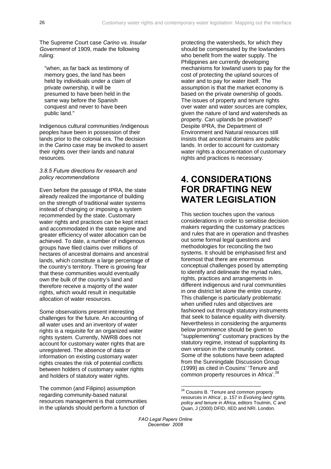<span id="page-31-0"></span>The Supreme Court case *Carino vs. Insular Government* of 1909, made the following ruling:

"when, as far back as testimony of memory goes, the land has been held by individuals under a claim of private ownership, it will be presumed to have been held in the same way before the Spanish conquest and never to have been public land."

Indigenous cultural communities /indigenous peoples have been in possession of their lands prior to the colonial era. The decision in the *Carino* case may be invoked to assert their rights over their lands and natural resources.

#### *3.8.5 Future directions for research and policy recommendations*

Even before the passage of IPRA, the state already realized the importance of building on the strength of traditional water systems instead of changing or imposing a system recommended by the state. Customary water rights and practices can be kept intact and accommodated in the state regime and greater efficiency of water allocation can be achieved. To date, a number of indigenous groups have filed claims over millions of hectares of ancestral domains and ancestral lands, which constitute a large percentage of the country's territory. There is growing fear that these communities would eventually own the bulk of the country's land and therefore receive a majority of the water rights, which would result in inequitable allocation of water resources.

Some observations present interesting challenges for the future. An accounting of all water uses and an inventory of water rights is a requisite for an organized water rights system*.* Currently, NWRB does not account for customary water rights that are unregistered. The absence of data or information on existing customary water rights creates the risk of potential conflicts between holders of customary water rights and holders of statutory water rights.

<span id="page-31-1"></span> The common (and Filipino) assumption regarding community-based natural resources management is that communities in the uplands should perform a function of

protecting the watersheds, for which they should be compensated by the lowlanders who benefit from the water supply. The Philippines are currently developing mechanisms for lowland users to pay for the cost of protecting the upland sources of water and to pay for water itself. The assumption is that the market economy is based on the private ownership of goods. The issues of property and tenure rights over water and water sources are complex, given the nature of land and watersheds as property. Can uplands be privatised? Despite IPRA, the Department of Environment and Natural resources still insists that ancestral domains are public lands. In order to account for customary water rights a documentation of customary rights and practices is necessary.

## **4. CONSIDERATIONS FOR DRAFTING NEW WATER LEGISLATION**

This section touches upon the various considerations in order to sensitise decision makers regarding the customary practices and rules that are in operation and thrashes out some formal legal questions and methodologies for reconciling the two systems. It should be emphasised first and foremost that there are enormous conceptual challenges posed by attempting to identify and delineate the myriad rules, rights, practices and arrangements in different indigenous and rural communities in one district let alone the entire country. This challenge is particularly problematic when unified rules and objectives are fashioned out through statutory instruments that seek to balance equality with diversity. Nevertheless in considering the arguments below prominence should be given to "supplementing" customary practices by the statutory regime, instead of supplanting its own version in the community context. Some of the solutions have been adapted from the Sunningdale Discussion Group (1999) as cited in Cousins' 'Tenure and common property resources in Africa'.<sup>[28](#page-31-1)</sup>

<sup>&</sup>lt;sup>28</sup> Cousins B. 'Tenure and common property resources in Africa', p. 157 in *Evolving land rights, policy and tenure in Africa*, editors Toulmin, C and Quan, J (2000) DFID, IIED and NRI. London.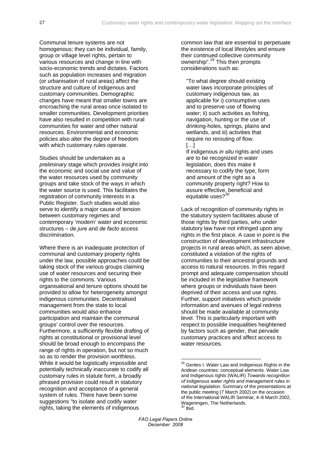Communal tenure systems are not homogenous; they can be individual, family, group or village level rights, pertain to various resources and change in line with socio-economic trends and dictates. Factors such as population increases and migration (or urbanisation of rural areas) affect the structure and culture of indigenous and customary communities. Demographic changes have meant that smaller towns are encroaching the rural areas once isolated to smaller communities. Development priorities have also resulted in competition with rural communities for water and other natural resources. Environmental and economic policies also alter the degree of freedom with which customary rules operate.

Studies should be undertaken as a *preliminary* stage which provides insight into the economic and social use and value of the water resources used by community groups and take stock of the ways in which the water source is used. This facilitates the registration of community interests in a Public Register. Such studies would also serve to identify a major cause of tension between customary regimes and contemporary 'modern' water and economic structures – *de jure* and *de facto* access discrimination.

<span id="page-32-1"></span><span id="page-32-0"></span>Where there is an inadequate protection of communal and customary property rights under the law, possible approaches could be taking stock of the various groups claiming use of water resources and securing their rights to the commons. Various organisational and tenure options should be provided to allow for heterogeneity amongst indigenous communities. Decentralised management from the state to local communities would also enhance participation and maintain the communal groups' control over the resources. Furthermore, a sufficiently flexible drafting of rights at constitutional or provisional level should be broad enough to encompass the range of rights in operation, but not so much so as to render the provision worthless. While it would be logistically impossible and potentially technically inaccurate to codify all customary rules in statute form, a broadly phrased provision could result in statutory recognition and acceptance of a general system of rules. There have been some suggestions "to isolate and codify water rights, taking the elements of indigenous

common law that are essential to perpetuate the existence of local lifestyles and ensure their continued collective community ownership".<sup>[29](#page-32-0)</sup> This then prompts considerations such as:

"To what degree should existing water laws incorporate principles of customary indigenous law, as applicable for i) consumptive uses and to preserve use of flowing water; ii) such activities as fishing, navigation, hunting or the use of drinking-holes, springs, plains and wetlands, and iii) activities that require no rerouting of flow.  $[...]$ 

If indigenous *in situ* rights and uses are to be recognized in water legislation, does this make it necessary to codify the type, form and amount of the right as a community property right? How to assure effective, beneficial and equitable uses?<sup>[30](#page-32-1)</sup>

Lack of recognition of community rights in the statutory system facilitates abuse of those rights by third parties, who under statutory law have not infringed upon any rights in the first place. A case in point is the construction of development infrastructure projects in rural areas which, as seen above, constituted a violation of the rights of communities to their ancestral grounds and access to natural resources. In this regard prompt and adequate compensation should be included in the legislative framework where groups or individuals have been deprived of their access and use rights. Further, support initiatives which provide information and avenues of legal redress should be made available at community level. This is particularly important with respect to possible inequalities heightened by factors such as gender, that pervade customary practices and affect access to water resources.

1

<sup>&</sup>lt;sup>29</sup> Gentes I. Water Law and Indigenous Rights in the Andean countries: conceptual elements. Water Law and Indigenous rights (WALIR) *Towards recognition of indigenous water rights and management rules in national legislation*. Summary of the presentations at the public meeting (7 March 2002) on the occasion of the International WALIR Seminar, 4–8 March 2002, Wageningen, The Netherlands.  $30$  Ibid.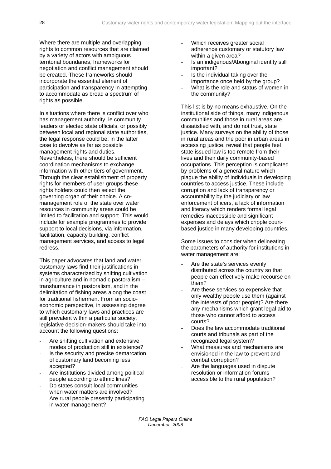Where there are multiple and overlapping rights to common resources that are claimed by a variety of actors with ambiguous territorial boundaries, frameworks for negotiation and conflict management should be created. These frameworks should incorporate the essential element of participation and transparency in attempting to accommodate as broad a spectrum of rights as possible.

In situations where there is conflict over who has management authority, ie community leaders or elected state officials, or possibly between local and regional state authorities, the legal response could be, in the latter case to devolve as far as possible management rights and duties. Nevertheless, there should be sufficient coordination mechanisms to exchange information with other tiers of government. Through the clear establishment of property rights for members of user groups these rights holders could then select the governing organ of their choice. A comanagement role of the state over water resources in community areas could be limited to facilitation and support. This would include for example programmes to provide support to local decisions, via information, facilitation, capacity building, conflict management services, and access to legal redress.

This paper advocates that land and water customary laws find their justifications in systems characterized by shifting cultivation in agriculture and in nomadic pastoralism – transhumance in pastoralism, and in the delimitation of fishing areas along the coast for traditional fishermen. From an socioeconomic perspective, in assessing degree to which customary laws and practices are still prevalent within a particular society, legislative decision-makers should take into account the following questions:

- Are shifting cultivation and extensive modes of production still in existence?
- Is the security and precise demarcation of customary land becoming less accepted?
- Are institutions divided among political people according to ethnic lines?
- Do states consult local communities when water matters are involved?
- Are rural people presently participating in water management?
- Which receives greater social adherence customary or statutory law within a given area?
- Is an indigenous/Aboriginal identity still important?
- Is the individual taking over the importance once held by the group?
- What is the role and status of women in the community?

This list is by no means exhaustive. On the institutional side of things, many indigenous communities and those in rural areas are dissatisfied with, and do not trust, state justice. Many surveys on the ability of those in rural areas and the poor in urban areas in accessing justice, reveal that people feel state issued law is too remote from their lives and their daily community-based occupations. This perception is complicated by problems of a general nature which plague the ability of individuals in developing countries to access justice. These include corruption and lack of transparency or accountability by the judiciary or law enforcement officers, a lack of information and literacy which renders formal legal remedies inaccessible and significant expenses and delays which cripple courtbased justice in many developing countries.

Some issues to consider when delineating the parameters of authority for institutions in water management are:

- Are the state's services evenly distributed across the country so that people can effectively make recourse on them?
- Are these services so expensive that only wealthy people use them (against the interests of poor people)? Are there any mechanisms which grant legal aid to those who cannot afford to access courts?
- Does the law accommodate traditional courts and tribunals as part of the recognized legal system?
- What measures and mechanisms are envisioned in the law to prevent and combat corruption?
- Are the languages used in dispute resolution or information forums accessible to the rural population?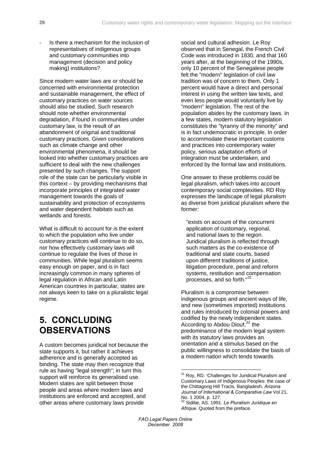<span id="page-34-0"></span>Is there a mechanism for the inclusion of representatives of indigenous groups and customary communities into management (decision and policy making) institutions?

Since modern water laws are or should be concerned with environmental protection and sustainable management, the effect of customary practices on water sources should also be studied. Such research should note whether environmental degradation, if found in communities under customary law, is the result of an abandonment of original and traditional customary practices. Given considerations such as climate change and other environmental phenomena, it should be looked into whether customary practices are sufficient to deal with the new challenges presented by such changes. The support role of the state can be particularly visible in this context – by providing mechanisms that incorporate principles of integrated water management towards the goals of sustainability and protection of ecosystems and water dependent habitats such as wetlands and forests.

What is difficult to account for is the extent to which the population who live under customary practices will continue to do so, nor how effectively customary laws will continue to regulate the lives of those in communities. While legal pluralism seems easy enough on paper, and is in fact increasingly common in many spheres of legal regulation in African and Latin American countries in particular, states are not always keen to take on a pluralistic legal regime.

## **5. CONCLUDING OBSERVATIONS**

<span id="page-34-2"></span><span id="page-34-1"></span>A custom becomes juridical not because the state supports it, but rather it achieves adherence and is generally accepted as binding. The state may then recognize that rule as having "legal strength"; in turn this support will reinforce its generalised use. Modern states are split between those people and areas where modern laws and institutions are enforced and accepted, and other areas where customary laws provide

social and cultural adhesion. Le Roy observed that in Senegal, the French Civil Code was introduced in 1830, and that 160 years after, at the beginning of the 1990s, only 10 percent of the Senegalese people felt the "modern" legislation of civil law tradition was of concern to them. Only 1 percent would have a direct and personal interest in using the written law texts, and even less people would voluntarily live by "modern" legislation. The rest of the population abides by the customary laws. In a few states, modern statutory legislation constitutes the "tyranny of the minority" and is in fact undemocratic in principle. In order to accommodate these important customs and practices into contemporary water policy, serious adaptation efforts of integration must be undertaken, and enforced by the formal law and institutions.

One answer to these problems could be legal pluralism, which takes into account contemporary social complexities. RD Roy expresses the landscape of legal pluralism as diverse from juridical pluralism where the former:

"exists on account of the concurrent application of customary, regional, and national laws to the region. Juridical pluralism is reflected through such matters as the co-existence of traditional and state courts, based upon different traditions of justice, litigation procedure, penal and reform systems, restitution and compensation processes, and so forth."<sup>[31](#page-34-1)</sup>

Pluralism is a compromise between indigenous groups and ancient ways of life, and new (sometimes imported) institutions and rules introduced by colonial powers and codified by the newly independent states. According to Abdou Diouf,  $32$  the predominance of the modern legal system with its statutory laws provides an orientation and a stimulus based on the public willingness to consolidate the basis of a modern nation which tends towards

32 Sidibe, AS. 1991. *Le Pluralism Juridique en Afrique*. Quoted from the preface.

*FAO Legal Papers Online December 2008* 

<u>.</u>

<sup>&</sup>lt;sup>31</sup> Roy, RD. 'Challenges for Juridical Pluralism and Customary Laws of Indigenous Peoples: the case of the Chittagong Hill Tracts, Bangladesh. *Arizona Journal of International & Comparative Law* Vol 21, No. 1 2004, p. 127.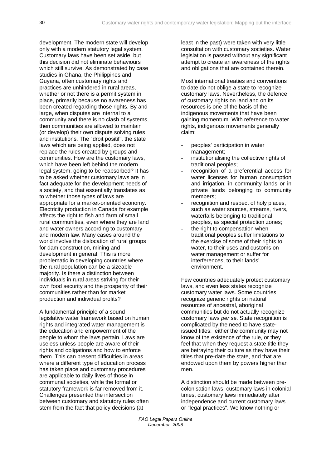development. The modern state will develop only with a modern statutory legal system. Customary laws have been set aside, but this decision did not eliminate behaviours which still survive. As demonstrated by case studies in Ghana, the Philippines and Guyana, often customary rights and practices are unhindered in rural areas, whether or not there is a permit system in place, primarily because no awareness has been created regarding those rights. By and large, when disputes are internal to a community and there is no clash of systems, then communities are allowed to maintain (or develop) their own dispute solving rules and institutions. The "droit positif", the state laws which are being applied, does not replace the rules created by groups and communities. How are the customary laws, which have been left behind the modern legal system, going to be reabsorbed? It has to be asked whether customary laws are in fact adequate for the development needs of a society, and that essentially translates as to whether those types of laws are appropriate for a market-oriented economy. Electricity production in Canada for example affects the right to fish and farm of small rural communities, even where they are land and water owners according to customary and modern law. Many cases around the world involve the dislocation of rural groups for dam construction, mining and development in general. This is more problematic in developing countries where the rural population can be a sizeable majority. Is there a distinction between individuals in rural areas striving for their own food security and the prosperity of their communities rather than for market production and individual profits?

A fundamental principle of a sound legislative water framework based on human rights and integrated water management is the education and empowerment of the people to whom the laws pertain. Laws are useless unless people are aware of their rights and obligations and how to enforce them. This can present difficulties in areas where a different type of education process has taken place and customary procedures are applicable to daily lives of those in communal societies, while the formal or statutory framework is far removed from it. Challenges presented the intersection between customary and statutory rules often stem from the fact that policy decisions (at

least in the past) were taken with very little consultation with customary societies. Water legislation is passed without any significant attempt to create an awareness of the rights and obligations that are contained therein.

Most international treaties and conventions to date do not oblige a state to recognize customary laws. Nevertheless, the defence of customary rights on land and on its resources is one of the basis of the indigenous movements that have been gaining momentum. With reference to water rights, indigenous movements generally claim:

- peoples' participation in water management;
- institutionalising the collective rights of traditional peoples;
- recognition of a preferential access for water licenses for human consumption and irrigation, in community lands or in private lands belonging to community members;
- recognition and respect of holy places, such as water sources, streams, rivers, waterfalls belonging to traditional peoples, as special protection zones;
- the right to compensation when traditional peoples suffer limitations to the exercise of some of their rights to water, to their uses and customs on water management or suffer for interferences, to their lands' environment.

Few countries adequately protect customary laws, and even less states recognize customary water laws. Some countries recognize generic rights on natural resources of ancestral, aboriginal communities but do not actually recognize customary laws *per se*. State recognition is complicated by the need to have stateissued titles: either the community may not know of the existence of the rule, or they feel that when they request a state title they are betraying their culture as they have their titles that pre-date the state, and that are endowed upon them by powers higher than men.

A distinction should be made between precolonisation laws, customary laws in colonial times, customary laws immediately after independence and current customary laws or "legal practices". We know nothing or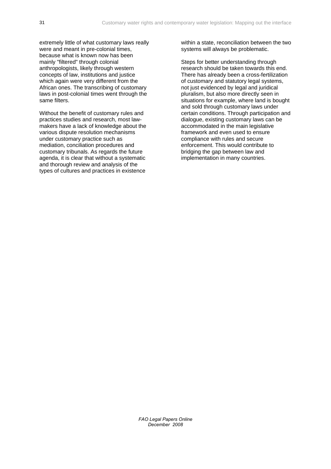extremely little of what customary laws really were and meant in pre-colonial times, because what is known now has been mainly "filtered" through colonial anthropologists, likely through western concepts of law, institutions and justice which again were very different from the African ones. The transcribing of customary laws in post-colonial times went through the same filters.

Without the benefit of customary rules and practices studies and research, most lawmakers have a lack of knowledge about the various dispute resolution mechanisms under customary practice such as mediation, conciliation procedures and customary tribunals. As regards the future agenda, it is clear that without a systematic and thorough review and analysis of the types of cultures and practices in existence

within a state, reconciliation between the two systems will always be problematic.

Steps for better understanding through research should be taken towards this end. There has already been a cross-fertilization of customary and statutory legal systems, not just evidenced by legal and juridical pluralism, but also more directly seen in situations for example, where land is bought and sold through customary laws under certain conditions. Through participation and dialogue, existing customary laws can be accommodated in the main legislative framework and even used to ensure compliance with rules and secure enforcement. This would contribute to bridging the gap between law and implementation in many countries.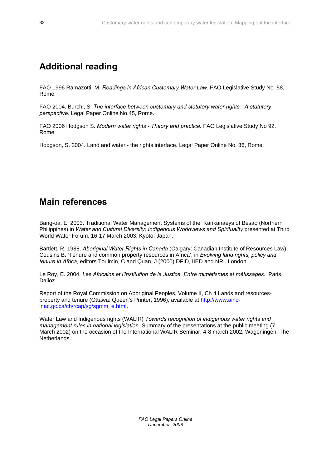## <span id="page-37-0"></span>**Additional reading**

FAO 1996 Ramazotti, M. *Readings in African Customary Water Law*. FAO Legislative Study No. 58, Rome.

FAO 2004. Burchi, S. *The interface between customary and statutory water rights - A statutory perspective.* Legal Paper Online No.45, Rome.

FAO 2006 Hodgson S. *[Modern water rights - Theory and practice](ftp://ftp.fao.org/docrep/fao/010/a0864e/a0864e00.pdf)***.** FAO Legislative Study No 92. Rome

Hodgson, S. 2004. Land and water - the rights interface. Legal Paper Online No. 36, Rome.

## **Main references**

Bang-oa, E. 2003. Traditional Water Management Systems of the Kankanaeys of Besao (Northern Philippines) in *Water and Cultural Diversity: Indigenous Worldviews and Spirituality* presented at Third World Water Forum, 16-17 March 2003, Kyoto, Japan.

Bartlett, R. 1988. *Aboriginal Water Rights in Canada* (Calgary: Canadian Institute of Resources Law). Cousins B. 'Tenure and common property resources in Africa', in *Evolving land rights, policy and tenure in Africa*, editors Toulmin, C and Quan, J (2000) DFID, IIED and NRI. London.

Le Roy, E. 2004. *Les Africains et l'Institution de la Justice. Entre mimétismes et métissages.* Paris, Dalloz.

Report of the Royal Commission on Aboriginal Peoples, Volume II, Ch 4 Lands and resourcesproperty and tenure (Ottawa: Queen's Printer, 1996), available at http://www.aincinac.gc.ca/ch/rcap/sg/sgmm\_e.html.

Water Law and Indigenous rights (WALIR) *Towards recognition of indigenous water rights and management rules in national legislation*. Summary of the presentations at the public meeting (7 March 2002) on the occasion of the International WALIR Seminar, 4-8 march 2002, Wageningen, The Netherlands.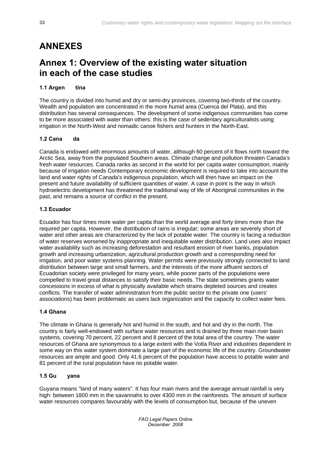## <span id="page-38-0"></span>**ANNEXES**

## **Annex 1: Overview of the existing water situation in each of the case studies**

## **1.1 Argen tina**

The country is divided into humid and dry or semi-dry provinces, covering two-thirds of the country. Wealth and population are concentrated in the more humid area (Cuenca del Plata), and this distribution has several consequences. The development of some indigenous communities has come to be more associated with water than others: this is the case of sedentary agriculturalists using irrigation in the North-West and nomadic canoe fishers and hunters in the North-East.

## **1.2 Cana da**

Canada is endowed with enormous amounts of water, although 60 percent of it flows north toward the Arctic Sea, away from the populated Southern areas. Climate change and pollution threaten Canada's fresh water resources. Canada ranks as second in the world for per capita water consumption, mainly because of irrigation needs Contemporary economic development is required to take into account the land and water rights of Canada's indigenous population, which will then have an impact on the present and future availability of sufficient quantities of water. A case in point is the way in which hydroelectric development has threatened the traditional way of life of Aboriginal communities in the past, and remains a source of conflict in the present.

## **1.3 Ecuador**

Ecuador has four times more water per capita than the world average and forty times more than the required per capita. However, the distribution of rains is irregular; some areas are severely short of water and other areas are characterized by the lack of potable water. The country is facing a reduction of water reserves worsened by inappropriate and inequitable water distribution. Land uses also impact water availability such as increasing deforestation and resultant erosion of river banks, population growth and increasing urbanization, agricultural production growth and a corresponding need for irrigation, and poor water systems planning. Water permits were previously strongly connected to land distribution between large and small farmers, and the interests of the more affluent sectors of Ecuadorian society were privileged for many years, while poorer parts of the populations were compelled to travel great distances to satisfy their basic needs. The state sometimes grants water concessions in excess of what is physically available which strains depleted sources and creates conflicts. The transfer of water administration from the public sector to the private one (users' associations) has been problematic as users lack organization and the capacity to collect water fees.

## **1.4 Ghana**

The climate in Ghana is generally hot and humid in the south, and hot and dry in the north. The country is fairly well-endowed with surface water resources and is drained by three main river basin systems, covering 70 percent, 22 percent and 8 percent of the total area of the country. The water resources of Ghana are synonymous to a large extent with the Volta River and industries dependent in some way on this water system dominate a large part of the economic life of the country. Groundwater resources are ample and good. Only 41.6 percent of the population have access to potable water and 81 percent of the rural population have no potable water.

## **1.5 Gu yana**

Guyana means "land of many waters". It has four main rivers and the average annual rainfall is very high: between 1800 mm in the savannahs to over 4300 mm in the rainforests. The amount of surface water resources compares favourably with the levels of consumption but, because of the uneven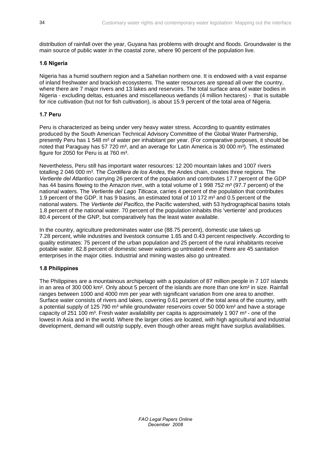distribution of rainfall over the year, Guyana has problems with drought and floods. Groundwater is the main source of public water in the coastal zone, where 90 percent of the population live.

## **1.6 Nigeria**

Nigeria has a humid southern region and a Sahelian northern one. It is endowed with a vast expanse of inland freshwater and brackish ecosystems. The water resources are spread all over the country, where there are 7 major rivers and 13 lakes and reservoirs. The total surface area of water bodies in Nigeria - excluding deltas, estuaries and miscellaneous wetlands (4 million hectares) - that is suitable for rice cultivation (but not for fish cultivation), is about 15.9 percent of the total area of Nigeria.

## **1.7 Peru**

Peru is characterized as being under very heavy water stress. According to quantity estimates produced by the South American Technical Advisory Committee of the Global Water Partnership, presently Peru has 1 548 m<sup>3</sup> of water per inhabitant per year. (For comparative purposes, it should be noted that Paraguay has 57 720 m<sup>3</sup>, and an average for Latin America is 30 000 m<sup>3</sup>). The estimated figure for 2050 for Peru is at 760 m<sup>3</sup>.

Nevertheless, Peru still has important water resources: 12 200 mountain lakes and 1007 rivers totalling 2 046 000 m<sup>3</sup>. The *Cordillera de los Andes*, the Andes chain, creates three regions. The *Vertiente del Atlantico* carrying 26 percent of the population and contributes 17.7 percent of the GDP has 44 basins flowing to the Amazon river, with a total volume of 1 998 752 m<sup>3</sup> (97.7 percent) of the national waters. The *Vertiente del Lago Titicaca*, carries 4 percent of the population that contributes 1.9 percent of the GDP. It has 9 basins, an estimated total of 10 172 m<sup>3</sup> and 0.5 percent of the national waters. The *Vertiente del Pacifico*, the Pacific watershed, with 53 hydrographical basins totals 1.8 percent of the national water. 70 percent of the population inhabits this 'vertiente' and produces 80.4 percent of the GNP, but comparatively has the least water available.

In the country, agriculture predominates water use (88.75 percent), domestic use takes up 7.28 percent, while industries and livestock consume 1.65 and 0.43 percent respectively. According to quality estimates: 75 percent of the urban population and 25 percent of the rural inhabitants receive potable water. 82.8 percent of domestic sewer waters go untreated even if there are 45 sanitation enterprises in the major cities. Industrial and mining wastes also go untreated.

## **1.8 Philippines**

The Philippines are a mountainous archipelago with a population of 87 million people in 7 107 islands in an area of 300 000 km². Only about 5 percent of the islands are more than one km² in size. Rainfall ranges between 1000 and 4000 mm per year with significant variation from one area to another. Surface water consists of rivers and lakes, covering 0.61 percent of the total area of the country, with a potential supply of 125 790 m<sup>3</sup> while groundwater reservoirs cover 50 000 km<sup>2</sup> and have a storage capacity of 251 100 m<sup>3</sup>. Fresh water availability per capita is approximately 1 907 m<sup>3</sup> - one of the lowest in Asia and in the world. Where the larger cities are located, with high agricultural and industrial development, demand will outstrip supply, even though other areas might have surplus availabilities.